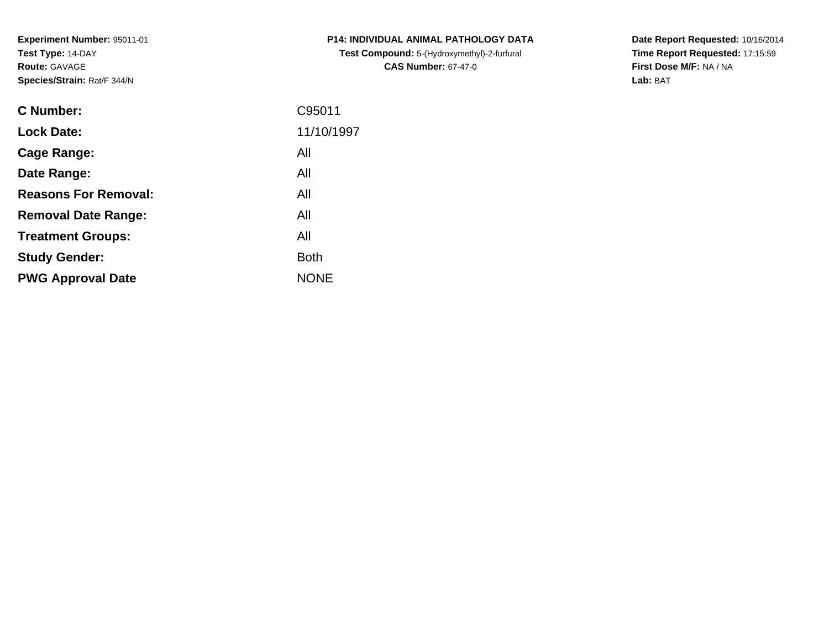**Experiment Number:** 95011-01**Test Type:** 14-DAY**Route:** GAVAGE**Species/Strain:** Rat/F 344/N

| <b>C Number:</b>            | C95011      |
|-----------------------------|-------------|
| <b>Lock Date:</b>           | 11/10/1997  |
| <b>Cage Range:</b>          | All         |
| Date Range:                 | All         |
| <b>Reasons For Removal:</b> | All         |
| <b>Removal Date Range:</b>  | All         |
| <b>Treatment Groups:</b>    | All         |
| <b>Study Gender:</b>        | <b>Both</b> |
| <b>PWG Approval Date</b>    | <b>NONE</b> |
|                             |             |

**P14: INDIVIDUAL ANIMAL PATHOLOGY DATATest Compound:** 5-(Hydroxymethyl)-2-furfural **CAS Number:** 67-47-0

**Date Report Requested:** 10/16/2014 **Time Report Requested:** 17:15:59**First Dose M/F:** NA / NA**Lab:** BAT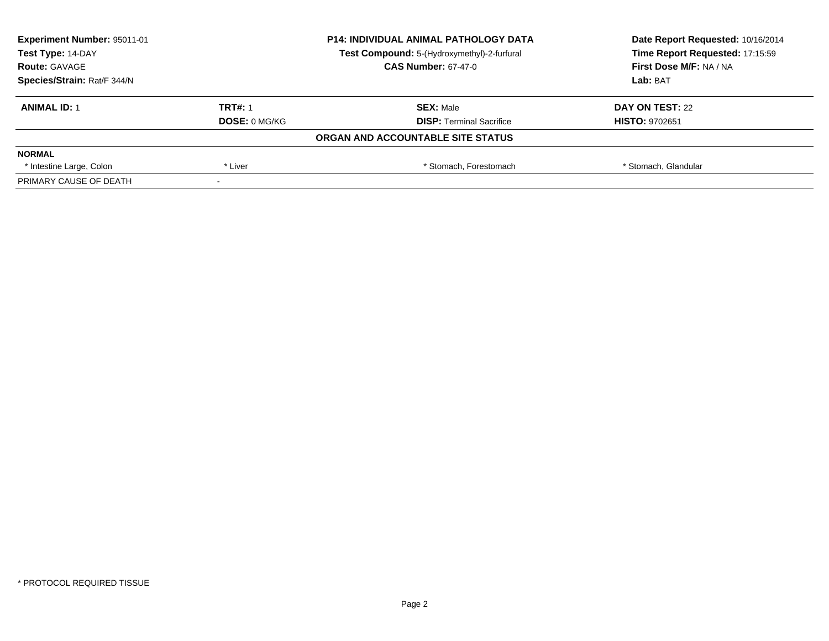| <b>Experiment Number: 95011-01</b><br>Test Type: 14-DAY |                      | <b>P14: INDIVIDUAL ANIMAL PATHOLOGY DATA</b> | Date Report Requested: 10/16/2014 |
|---------------------------------------------------------|----------------------|----------------------------------------------|-----------------------------------|
|                                                         |                      | Test Compound: 5-(Hydroxymethyl)-2-furfural  | Time Report Requested: 17:15:59   |
| <b>Route: GAVAGE</b>                                    |                      | <b>CAS Number: 67-47-0</b>                   | First Dose M/F: NA / NA           |
| Species/Strain: Rat/F 344/N                             |                      |                                              | Lab: BAT                          |
| <b>ANIMAL ID: 1</b>                                     | <b>TRT#: 1</b>       | <b>SEX: Male</b>                             | DAY ON TEST: 22                   |
|                                                         | <b>DOSE: 0 MG/KG</b> | <b>DISP: Terminal Sacrifice</b>              | <b>HISTO: 9702651</b>             |
|                                                         |                      | ORGAN AND ACCOUNTABLE SITE STATUS            |                                   |
| <b>NORMAL</b>                                           |                      |                                              |                                   |
| * Intestine Large, Colon                                | * Liver              | * Stomach. Forestomach                       | * Stomach, Glandular              |
| PRIMARY CAUSE OF DEATH                                  |                      |                                              |                                   |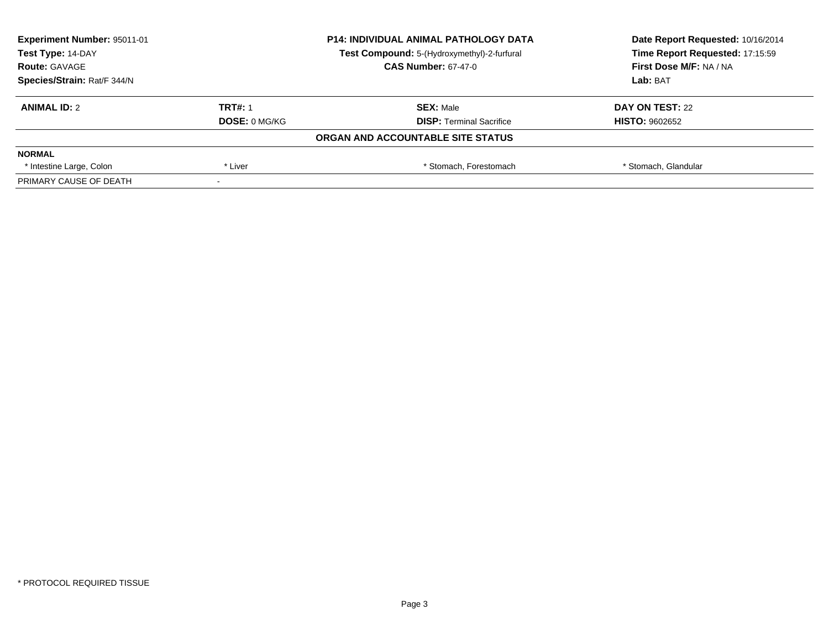| <b>Experiment Number: 95011-01</b><br>Test Type: 14-DAY |                      | <b>P14: INDIVIDUAL ANIMAL PATHOLOGY DATA</b> | Date Report Requested: 10/16/2014<br>Time Report Requested: 17:15:59 |
|---------------------------------------------------------|----------------------|----------------------------------------------|----------------------------------------------------------------------|
|                                                         |                      | Test Compound: 5-(Hydroxymethyl)-2-furfural  |                                                                      |
| <b>Route: GAVAGE</b>                                    |                      | <b>CAS Number: 67-47-0</b>                   | First Dose M/F: NA / NA                                              |
| Species/Strain: Rat/F 344/N                             |                      |                                              | Lab: BAT                                                             |
| <b>ANIMAL ID: 2</b>                                     | <b>TRT#: 1</b>       | <b>SEX: Male</b>                             | DAY ON TEST: 22                                                      |
|                                                         | <b>DOSE: 0 MG/KG</b> | <b>DISP: Terminal Sacrifice</b>              | <b>HISTO: 9602652</b>                                                |
|                                                         |                      | ORGAN AND ACCOUNTABLE SITE STATUS            |                                                                      |
| <b>NORMAL</b>                                           |                      |                                              |                                                                      |
| * Intestine Large, Colon                                | * Liver              | * Stomach. Forestomach                       | * Stomach, Glandular                                                 |
| PRIMARY CAUSE OF DEATH                                  |                      |                                              |                                                                      |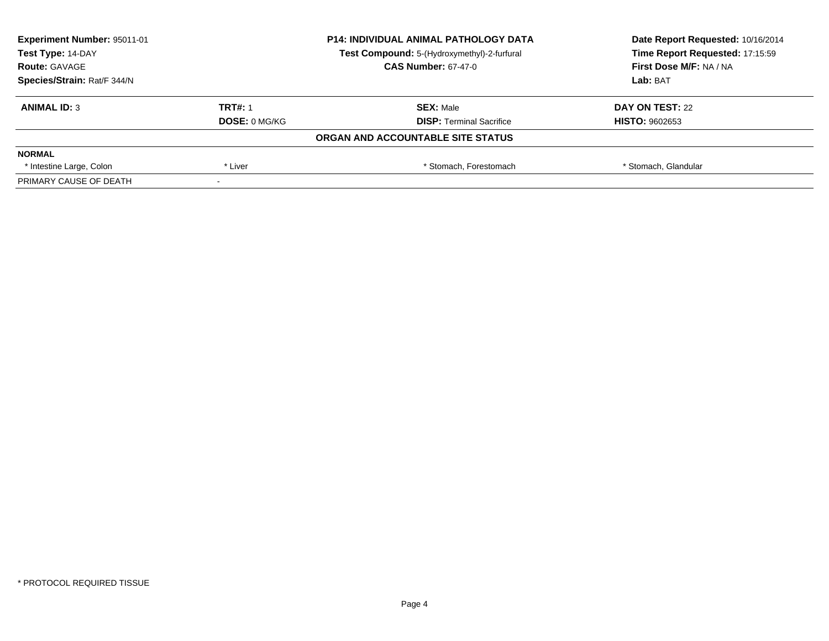| Experiment Number: 95011-01<br>Test Type: 14-DAY |                      | <b>P14: INDIVIDUAL ANIMAL PATHOLOGY DATA</b> | Date Report Requested: 10/16/2014<br>Time Report Requested: 17:15:59 |
|--------------------------------------------------|----------------------|----------------------------------------------|----------------------------------------------------------------------|
|                                                  |                      | Test Compound: 5-(Hydroxymethyl)-2-furfural  |                                                                      |
| <b>Route: GAVAGE</b>                             |                      | <b>CAS Number: 67-47-0</b>                   | First Dose M/F: NA / NA                                              |
| Species/Strain: Rat/F 344/N                      |                      |                                              | Lab: BAT                                                             |
| <b>ANIMAL ID: 3</b>                              | <b>TRT#: 1</b>       | <b>SEX: Male</b>                             | DAY ON TEST: 22                                                      |
|                                                  | <b>DOSE: 0 MG/KG</b> | <b>DISP:</b> Terminal Sacrifice              | <b>HISTO: 9602653</b>                                                |
|                                                  |                      | ORGAN AND ACCOUNTABLE SITE STATUS            |                                                                      |
| <b>NORMAL</b>                                    |                      |                                              |                                                                      |
| * Intestine Large, Colon                         | * Liver              | * Stomach. Forestomach                       | * Stomach, Glandular                                                 |
| PRIMARY CAUSE OF DEATH                           |                      |                                              |                                                                      |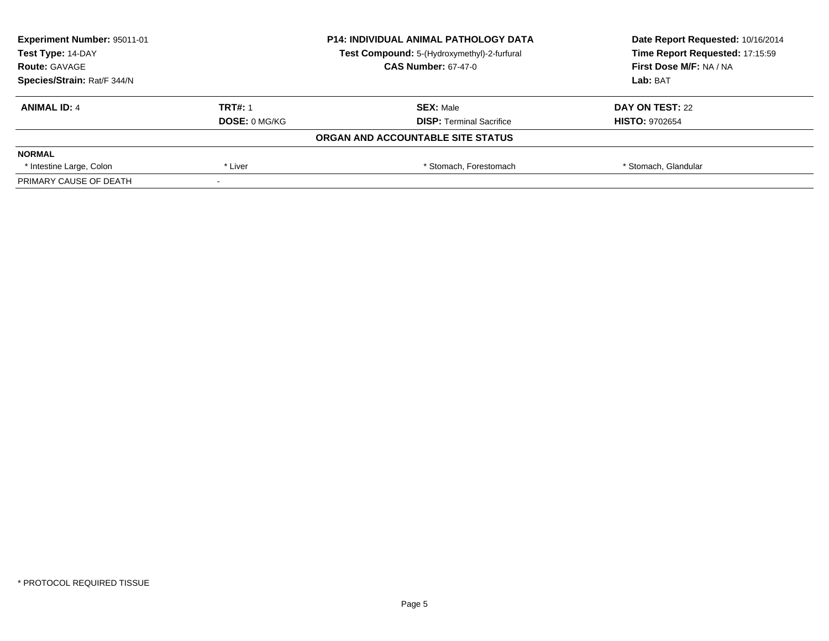| <b>Experiment Number: 95011-01</b><br>Test Type: 14-DAY |                      | <b>P14: INDIVIDUAL ANIMAL PATHOLOGY DATA</b> | Date Report Requested: 10/16/2014 |
|---------------------------------------------------------|----------------------|----------------------------------------------|-----------------------------------|
|                                                         |                      | Test Compound: 5-(Hydroxymethyl)-2-furfural  | Time Report Requested: 17:15:59   |
| <b>Route: GAVAGE</b>                                    |                      | <b>CAS Number: 67-47-0</b>                   | First Dose M/F: NA / NA           |
| Species/Strain: Rat/F 344/N                             |                      |                                              | Lab: BAT                          |
| <b>ANIMAL ID: 4</b>                                     | <b>TRT#: 1</b>       | <b>SEX: Male</b>                             | DAY ON TEST: 22                   |
|                                                         | <b>DOSE: 0 MG/KG</b> | <b>DISP: Terminal Sacrifice</b>              | <b>HISTO: 9702654</b>             |
|                                                         |                      | ORGAN AND ACCOUNTABLE SITE STATUS            |                                   |
| <b>NORMAL</b>                                           |                      |                                              |                                   |
| * Intestine Large, Colon                                | * Liver              | * Stomach. Forestomach                       | * Stomach, Glandular              |
| PRIMARY CAUSE OF DEATH                                  |                      |                                              |                                   |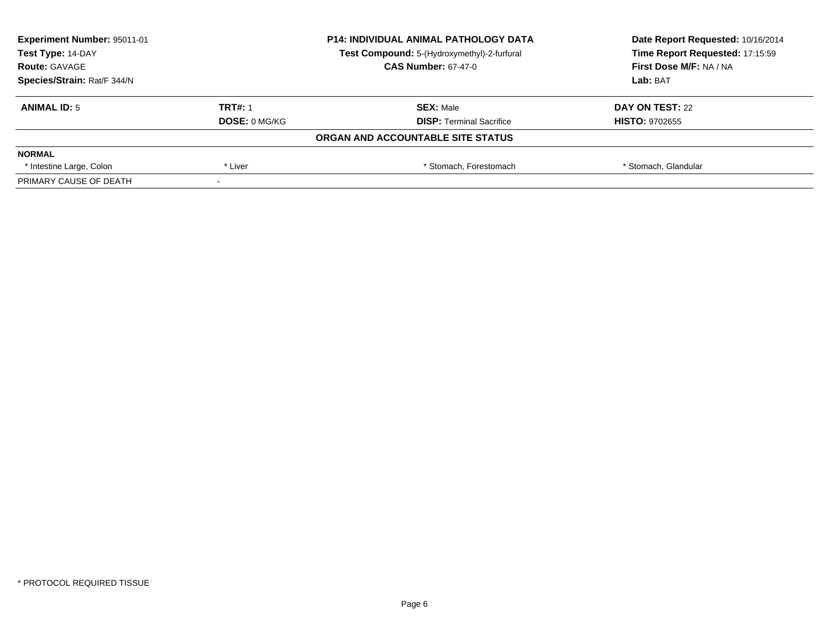| <b>Experiment Number: 95011-01</b><br>Test Type: 14-DAY |                      | <b>P14: INDIVIDUAL ANIMAL PATHOLOGY DATA</b> | Date Report Requested: 10/16/2014<br>Time Report Requested: 17:15:59 |
|---------------------------------------------------------|----------------------|----------------------------------------------|----------------------------------------------------------------------|
|                                                         |                      | Test Compound: 5-(Hydroxymethyl)-2-furfural  |                                                                      |
| <b>Route: GAVAGE</b>                                    |                      | <b>CAS Number: 67-47-0</b>                   | First Dose M/F: NA / NA                                              |
| Species/Strain: Rat/F 344/N                             |                      |                                              | Lab: BAT                                                             |
| <b>ANIMAL ID: 5</b>                                     | <b>TRT#: 1</b>       | <b>SEX: Male</b>                             | DAY ON TEST: 22                                                      |
|                                                         | <b>DOSE: 0 MG/KG</b> | <b>DISP: Terminal Sacrifice</b>              | <b>HISTO: 9702655</b>                                                |
|                                                         |                      | ORGAN AND ACCOUNTABLE SITE STATUS            |                                                                      |
| <b>NORMAL</b>                                           |                      |                                              |                                                                      |
| * Intestine Large, Colon                                | * Liver              | * Stomach. Forestomach                       | * Stomach, Glandular                                                 |
| PRIMARY CAUSE OF DEATH                                  |                      |                                              |                                                                      |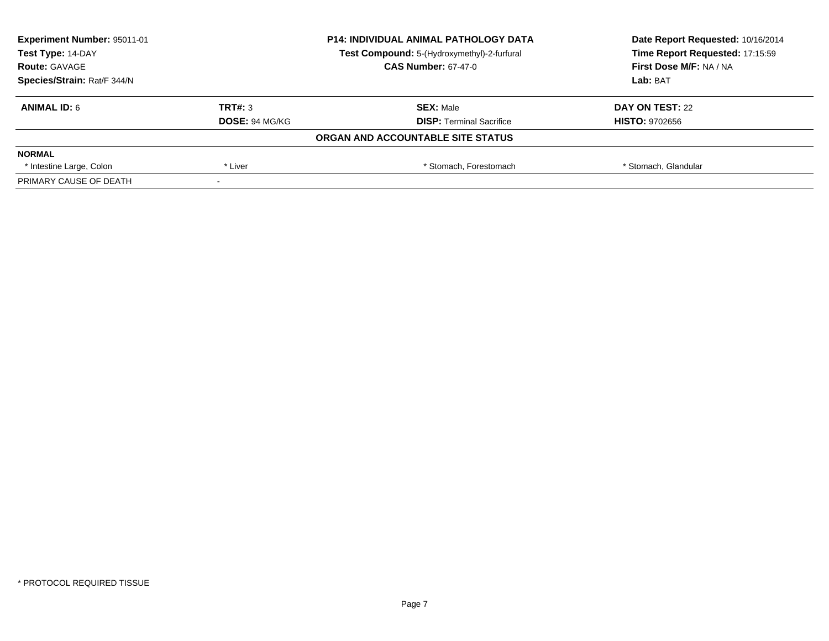| Experiment Number: 95011-01<br>Test Type: 14-DAY |                       | <b>P14: INDIVIDUAL ANIMAL PATHOLOGY DATA</b> | Date Report Requested: 10/16/2014 |
|--------------------------------------------------|-----------------------|----------------------------------------------|-----------------------------------|
|                                                  |                       | Test Compound: 5-(Hydroxymethyl)-2-furfural  | Time Report Requested: 17:15:59   |
| <b>Route: GAVAGE</b>                             |                       | <b>CAS Number: 67-47-0</b>                   | First Dose M/F: NA / NA           |
| Species/Strain: Rat/F 344/N                      |                       |                                              | Lab: BAT                          |
| <b>ANIMAL ID: 6</b>                              | TRT#: 3               | <b>SEX: Male</b>                             | DAY ON TEST: 22                   |
|                                                  | <b>DOSE: 94 MG/KG</b> | <b>DISP:</b> Terminal Sacrifice              | <b>HISTO: 9702656</b>             |
|                                                  |                       | ORGAN AND ACCOUNTABLE SITE STATUS            |                                   |
| <b>NORMAL</b>                                    |                       |                                              |                                   |
| * Intestine Large, Colon                         | * Liver               | * Stomach. Forestomach                       | * Stomach, Glandular              |
| PRIMARY CAUSE OF DEATH                           |                       |                                              |                                   |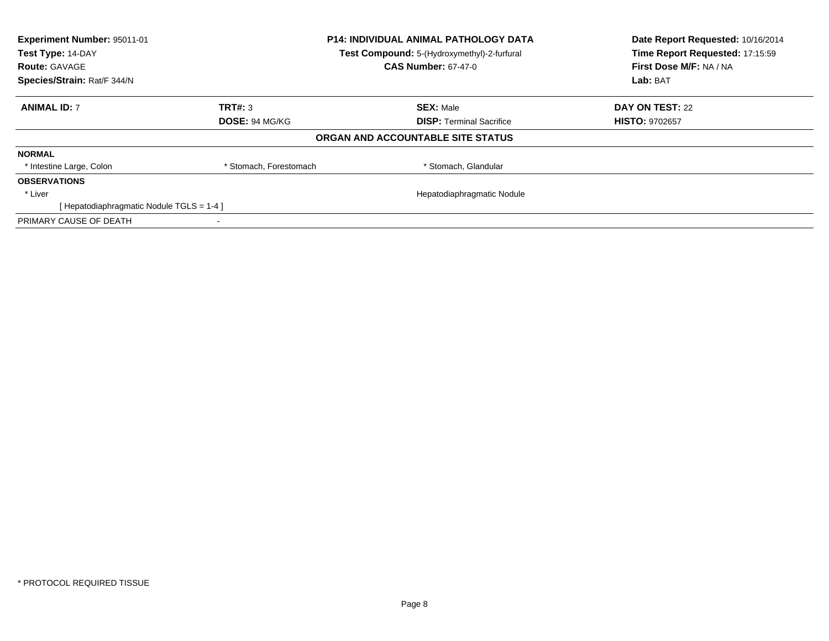| Experiment Number: 95011-01             |                        | <b>P14: INDIVIDUAL ANIMAL PATHOLOGY DATA</b> | Date Report Requested: 10/16/2014 |
|-----------------------------------------|------------------------|----------------------------------------------|-----------------------------------|
| Test Type: 14-DAY                       |                        | Test Compound: 5-(Hydroxymethyl)-2-furfural  | Time Report Requested: 17:15:59   |
| <b>Route: GAVAGE</b>                    |                        | <b>CAS Number: 67-47-0</b>                   | First Dose M/F: NA / NA           |
| Species/Strain: Rat/F 344/N             |                        |                                              | Lab: BAT                          |
| <b>ANIMAL ID: 7</b>                     | TRT#: 3                | <b>SEX: Male</b>                             | DAY ON TEST: 22                   |
|                                         | <b>DOSE: 94 MG/KG</b>  | <b>DISP:</b> Terminal Sacrifice              | <b>HISTO: 9702657</b>             |
|                                         |                        | ORGAN AND ACCOUNTABLE SITE STATUS            |                                   |
| <b>NORMAL</b>                           |                        |                                              |                                   |
| * Intestine Large, Colon                | * Stomach, Forestomach | * Stomach, Glandular                         |                                   |
| <b>OBSERVATIONS</b>                     |                        |                                              |                                   |
| * Liver                                 |                        | Hepatodiaphragmatic Nodule                   |                                   |
| [Hepatodiaphragmatic Nodule TGLS = 1-4] |                        |                                              |                                   |
| PRIMARY CAUSE OF DEATH                  |                        |                                              |                                   |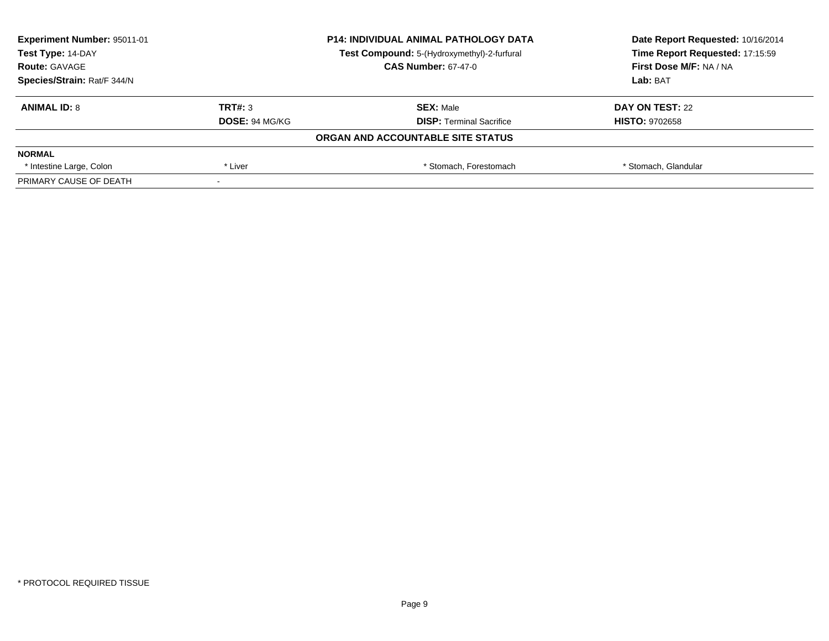| Experiment Number: 95011-01<br>Test Type: 14-DAY |                       | <b>P14: INDIVIDUAL ANIMAL PATHOLOGY DATA</b> | Date Report Requested: 10/16/2014<br>Time Report Requested: 17:15:59 |
|--------------------------------------------------|-----------------------|----------------------------------------------|----------------------------------------------------------------------|
|                                                  |                       | Test Compound: 5-(Hydroxymethyl)-2-furfural  |                                                                      |
| <b>Route: GAVAGE</b>                             |                       | <b>CAS Number: 67-47-0</b>                   | First Dose M/F: NA / NA                                              |
| Species/Strain: Rat/F 344/N                      |                       |                                              | Lab: BAT                                                             |
| <b>ANIMAL ID: 8</b>                              | TRT#: 3               | <b>SEX: Male</b>                             | DAY ON TEST: 22                                                      |
|                                                  | <b>DOSE: 94 MG/KG</b> | <b>DISP:</b> Terminal Sacrifice              | <b>HISTO: 9702658</b>                                                |
|                                                  |                       | ORGAN AND ACCOUNTABLE SITE STATUS            |                                                                      |
| <b>NORMAL</b>                                    |                       |                                              |                                                                      |
| * Intestine Large, Colon                         | * Liver               | * Stomach. Forestomach                       | * Stomach, Glandular                                                 |
| PRIMARY CAUSE OF DEATH                           |                       |                                              |                                                                      |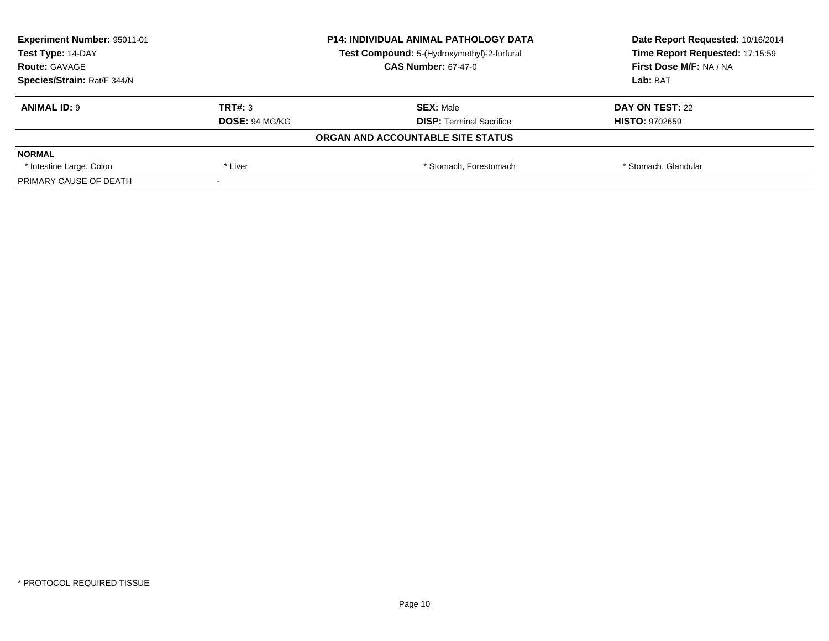| Experiment Number: 95011-01<br>Test Type: 14-DAY |                       | <b>P14: INDIVIDUAL ANIMAL PATHOLOGY DATA</b> | Date Report Requested: 10/16/2014<br>Time Report Requested: 17:15:59 |
|--------------------------------------------------|-----------------------|----------------------------------------------|----------------------------------------------------------------------|
|                                                  |                       | Test Compound: 5-(Hydroxymethyl)-2-furfural  |                                                                      |
| <b>Route: GAVAGE</b>                             |                       | <b>CAS Number: 67-47-0</b>                   | First Dose M/F: NA / NA                                              |
| Species/Strain: Rat/F 344/N                      |                       |                                              | Lab: BAT                                                             |
| <b>ANIMAL ID: 9</b>                              | TRT#: 3               | <b>SEX: Male</b>                             | DAY ON TEST: 22                                                      |
|                                                  | <b>DOSE: 94 MG/KG</b> | <b>DISP:</b> Terminal Sacrifice              | <b>HISTO: 9702659</b>                                                |
|                                                  |                       | ORGAN AND ACCOUNTABLE SITE STATUS            |                                                                      |
| <b>NORMAL</b>                                    |                       |                                              |                                                                      |
| * Intestine Large, Colon                         | * Liver               | * Stomach. Forestomach                       | * Stomach, Glandular                                                 |
| PRIMARY CAUSE OF DEATH                           |                       |                                              |                                                                      |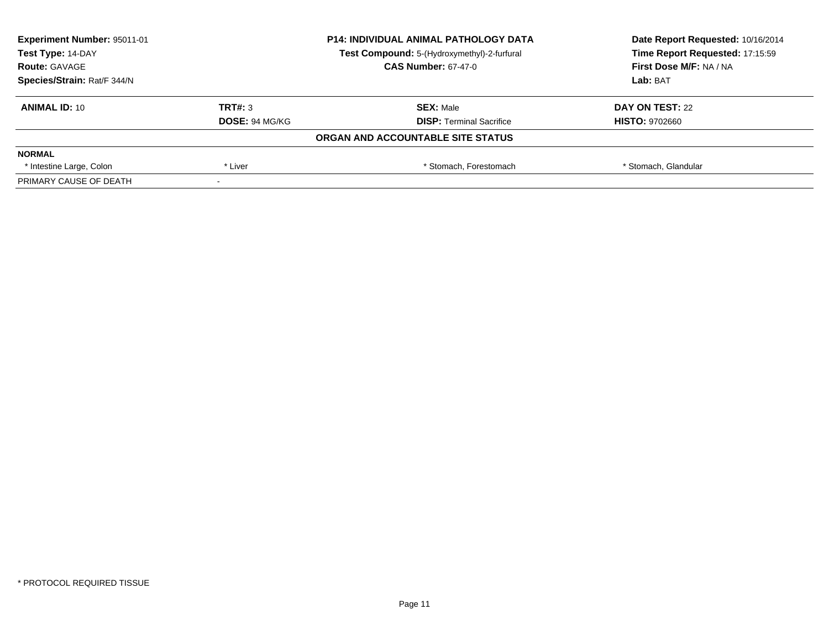| Experiment Number: 95011-01<br>Test Type: 14-DAY |                       | <b>P14: INDIVIDUAL ANIMAL PATHOLOGY DATA</b> | Date Report Requested: 10/16/2014<br>Time Report Requested: 17:15:59 |
|--------------------------------------------------|-----------------------|----------------------------------------------|----------------------------------------------------------------------|
|                                                  |                       | Test Compound: 5-(Hydroxymethyl)-2-furfural  |                                                                      |
| <b>Route: GAVAGE</b>                             |                       | <b>CAS Number: 67-47-0</b>                   | First Dose M/F: NA / NA                                              |
| Species/Strain: Rat/F 344/N                      |                       |                                              | Lab: BAT                                                             |
| <b>ANIMAL ID: 10</b>                             | TRT#: 3               | <b>SEX: Male</b>                             | DAY ON TEST: 22                                                      |
|                                                  | <b>DOSE: 94 MG/KG</b> | <b>DISP:</b> Terminal Sacrifice              | <b>HISTO: 9702660</b>                                                |
|                                                  |                       | ORGAN AND ACCOUNTABLE SITE STATUS            |                                                                      |
| <b>NORMAL</b>                                    |                       |                                              |                                                                      |
| * Intestine Large, Colon                         | * Liver               | * Stomach, Forestomach                       | * Stomach, Glandular                                                 |
| PRIMARY CAUSE OF DEATH                           |                       |                                              |                                                                      |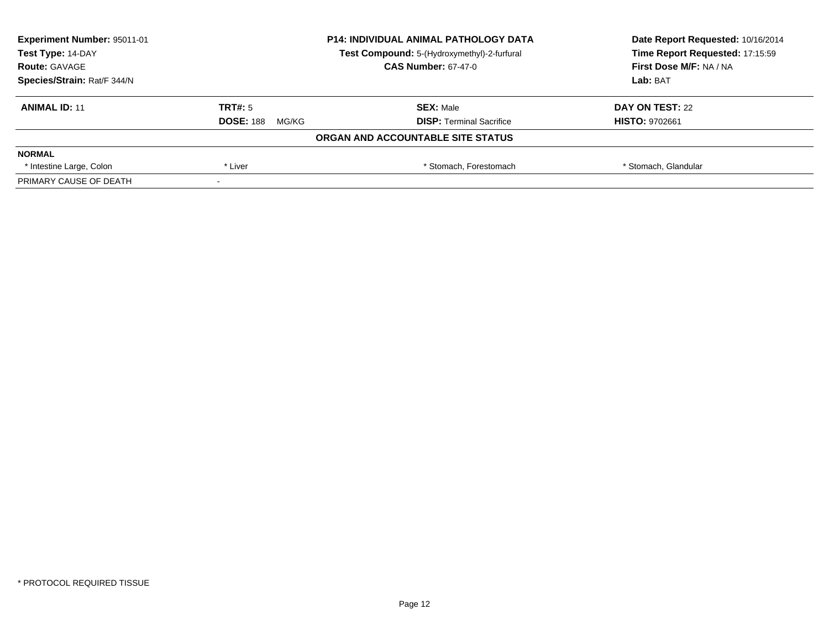| <b>Experiment Number: 95011-01</b> | <b>P14: INDIVIDUAL ANIMAL PATHOLOGY DATA</b> |                                             | Date Report Requested: 10/16/2014 |  |
|------------------------------------|----------------------------------------------|---------------------------------------------|-----------------------------------|--|
| Test Type: 14-DAY                  |                                              | Test Compound: 5-(Hydroxymethyl)-2-furfural | Time Report Requested: 17:15:59   |  |
| <b>Route: GAVAGE</b>               |                                              | <b>CAS Number: 67-47-0</b>                  | First Dose M/F: NA / NA           |  |
| Species/Strain: Rat/F 344/N        |                                              |                                             | Lab: BAT                          |  |
| <b>ANIMAL ID: 11</b>               | TRT#: 5                                      | <b>SEX: Male</b>                            | DAY ON TEST: 22                   |  |
|                                    | <b>DOSE: 188</b><br>MG/KG                    | <b>DISP: Terminal Sacrifice</b>             | <b>HISTO: 9702661</b>             |  |
|                                    |                                              | ORGAN AND ACCOUNTABLE SITE STATUS           |                                   |  |
| <b>NORMAL</b>                      |                                              |                                             |                                   |  |
| * Intestine Large, Colon           | * Liver                                      | * Stomach. Forestomach                      | * Stomach, Glandular              |  |
| PRIMARY CAUSE OF DEATH             |                                              |                                             |                                   |  |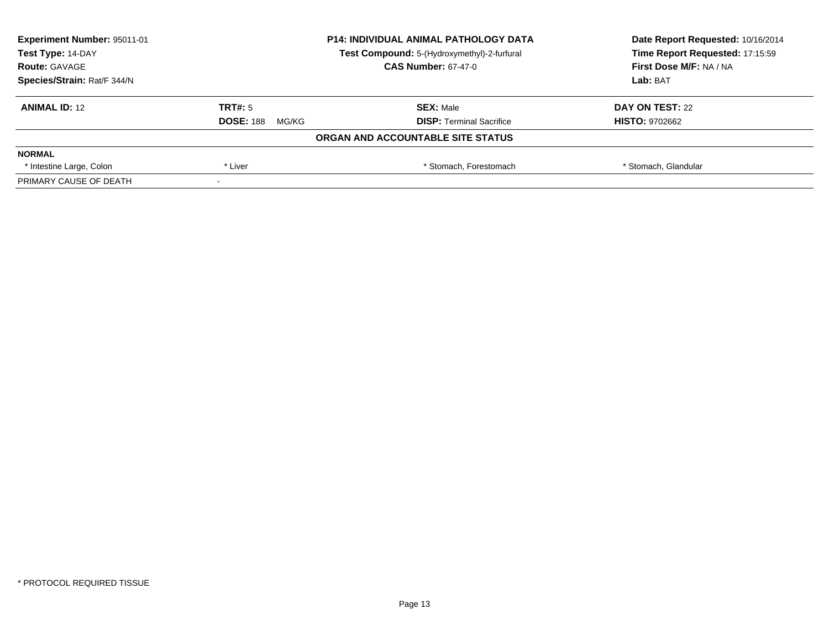| <b>Experiment Number: 95011-01</b> | <b>P14: INDIVIDUAL ANIMAL PATHOLOGY DATA</b> |                                             | Date Report Requested: 10/16/2014 |
|------------------------------------|----------------------------------------------|---------------------------------------------|-----------------------------------|
| Test Type: 14-DAY                  |                                              | Test Compound: 5-(Hydroxymethyl)-2-furfural | Time Report Requested: 17:15:59   |
| <b>Route: GAVAGE</b>               |                                              | <b>CAS Number: 67-47-0</b>                  | First Dose M/F: NA / NA           |
| Species/Strain: Rat/F 344/N        |                                              | Lab: BAT                                    |                                   |
| <b>ANIMAL ID: 12</b>               | TRT#: 5                                      | <b>SEX: Male</b>                            | DAY ON TEST: 22                   |
|                                    | <b>DOSE: 188</b><br>MG/KG                    | <b>DISP: Terminal Sacrifice</b>             | <b>HISTO: 9702662</b>             |
|                                    |                                              | ORGAN AND ACCOUNTABLE SITE STATUS           |                                   |
| <b>NORMAL</b>                      |                                              |                                             |                                   |
| * Intestine Large, Colon           | * Liver                                      | * Stomach. Forestomach                      | * Stomach, Glandular              |
| PRIMARY CAUSE OF DEATH             |                                              |                                             |                                   |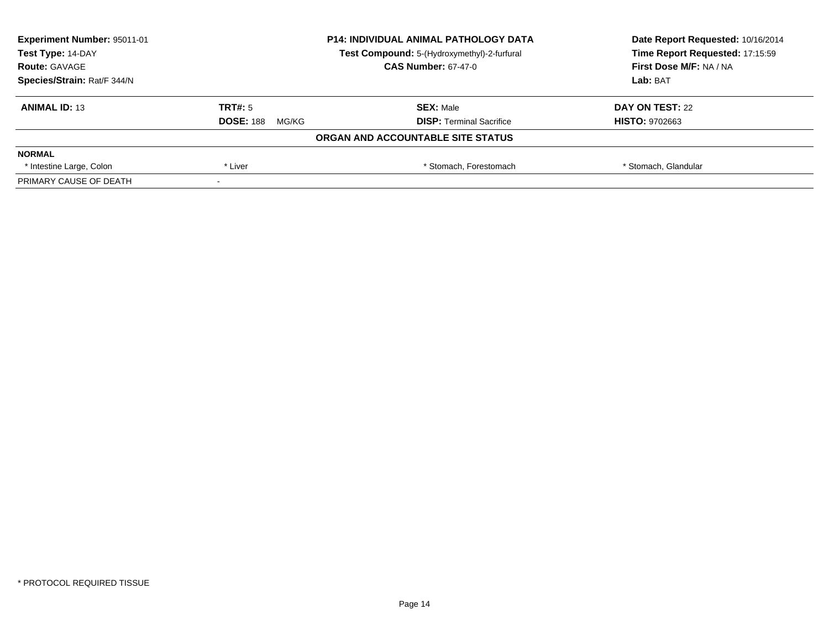| <b>Experiment Number: 95011-01</b> |                           | <b>P14: INDIVIDUAL ANIMAL PATHOLOGY DATA</b> | Date Report Requested: 10/16/2014<br>Time Report Requested: 17:15:59 |
|------------------------------------|---------------------------|----------------------------------------------|----------------------------------------------------------------------|
| Test Type: 14-DAY                  |                           | Test Compound: 5-(Hydroxymethyl)-2-furfural  |                                                                      |
| <b>Route: GAVAGE</b>               |                           | <b>CAS Number: 67-47-0</b>                   | <b>First Dose M/F: NA / NA</b>                                       |
| Species/Strain: Rat/F 344/N        |                           | Lab: BAT                                     |                                                                      |
| <b>ANIMAL ID: 13</b>               | TRT#: 5                   | <b>SEX: Male</b>                             | DAY ON TEST: 22                                                      |
|                                    | <b>DOSE: 188</b><br>MG/KG | <b>DISP: Terminal Sacrifice</b>              | <b>HISTO: 9702663</b>                                                |
|                                    |                           | ORGAN AND ACCOUNTABLE SITE STATUS            |                                                                      |
| <b>NORMAL</b>                      |                           |                                              |                                                                      |
| * Intestine Large, Colon           | * Liver                   | * Stomach. Forestomach                       | * Stomach, Glandular                                                 |
| PRIMARY CAUSE OF DEATH             |                           |                                              |                                                                      |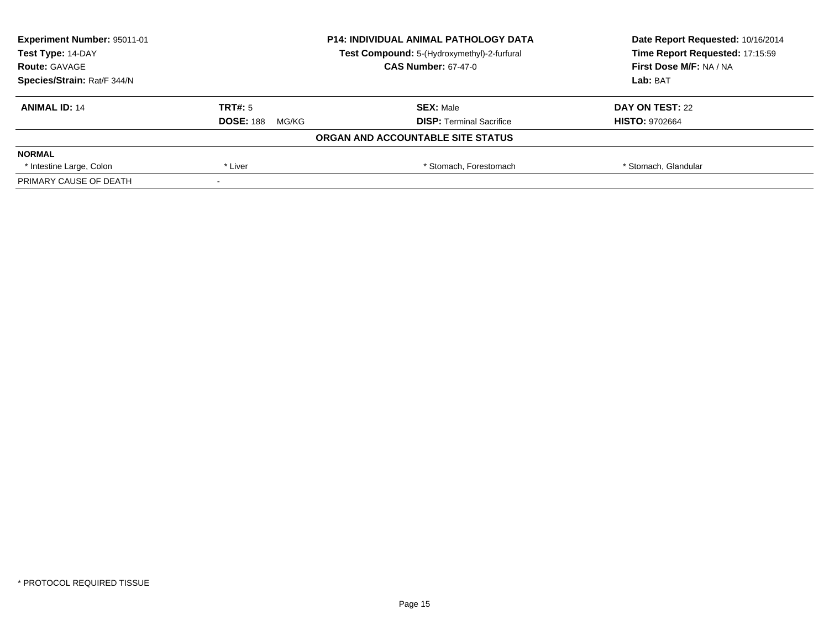| <b>Experiment Number: 95011-01</b> | <b>P14: INDIVIDUAL ANIMAL PATHOLOGY DATA</b> |                                             | Date Report Requested: 10/16/2014 |
|------------------------------------|----------------------------------------------|---------------------------------------------|-----------------------------------|
| Test Type: 14-DAY                  |                                              | Test Compound: 5-(Hydroxymethyl)-2-furfural | Time Report Requested: 17:15:59   |
| <b>Route: GAVAGE</b>               |                                              | <b>CAS Number: 67-47-0</b>                  | <b>First Dose M/F: NA / NA</b>    |
| Species/Strain: Rat/F 344/N        |                                              | Lab: BAT                                    |                                   |
| <b>ANIMAL ID: 14</b>               | TRT#: 5                                      | <b>SEX: Male</b>                            | DAY ON TEST: 22                   |
|                                    | <b>DOSE: 188</b><br>MG/KG                    | <b>DISP: Terminal Sacrifice</b>             | <b>HISTO: 9702664</b>             |
|                                    |                                              | ORGAN AND ACCOUNTABLE SITE STATUS           |                                   |
| <b>NORMAL</b>                      |                                              |                                             |                                   |
| * Intestine Large, Colon           | * Liver                                      | * Stomach. Forestomach                      | * Stomach, Glandular              |
| PRIMARY CAUSE OF DEATH             |                                              |                                             |                                   |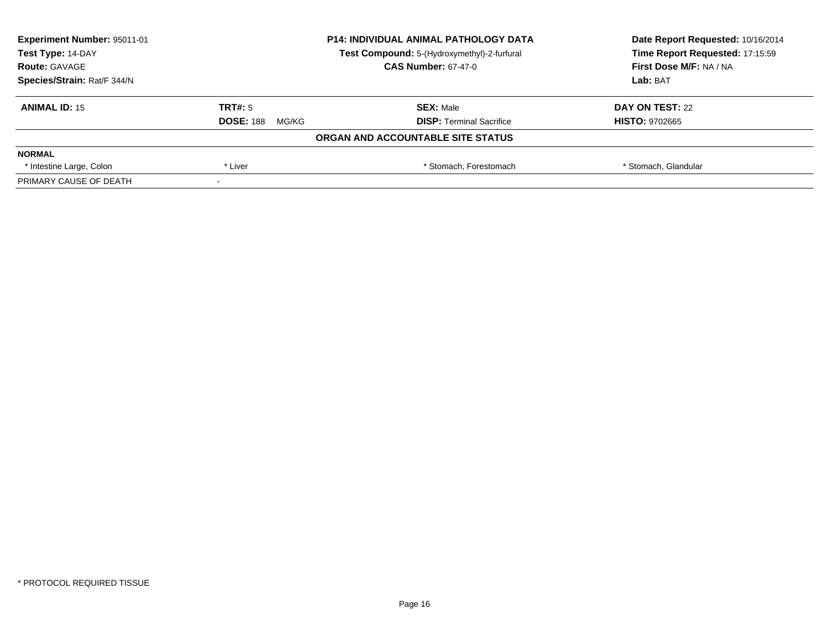| <b>Experiment Number: 95011-01</b> | <b>P14: INDIVIDUAL ANIMAL PATHOLOGY DATA</b> |                                             | Date Report Requested: 10/16/2014 |  |
|------------------------------------|----------------------------------------------|---------------------------------------------|-----------------------------------|--|
| Test Type: 14-DAY                  |                                              | Test Compound: 5-(Hydroxymethyl)-2-furfural | Time Report Requested: 17:15:59   |  |
| <b>Route: GAVAGE</b>               |                                              | <b>CAS Number: 67-47-0</b>                  | <b>First Dose M/F: NA / NA</b>    |  |
| Species/Strain: Rat/F 344/N        |                                              |                                             | Lab: BAT                          |  |
| <b>ANIMAL ID: 15</b>               | TRT#: 5                                      | <b>SEX: Male</b>                            | DAY ON TEST: 22                   |  |
|                                    | <b>DOSE: 188</b><br>MG/KG                    | <b>DISP: Terminal Sacrifice</b>             | <b>HISTO: 9702665</b>             |  |
|                                    |                                              | ORGAN AND ACCOUNTABLE SITE STATUS           |                                   |  |
| <b>NORMAL</b>                      |                                              |                                             |                                   |  |
| * Intestine Large, Colon           | * Liver                                      | * Stomach. Forestomach                      | * Stomach, Glandular              |  |
| PRIMARY CAUSE OF DEATH             |                                              |                                             |                                   |  |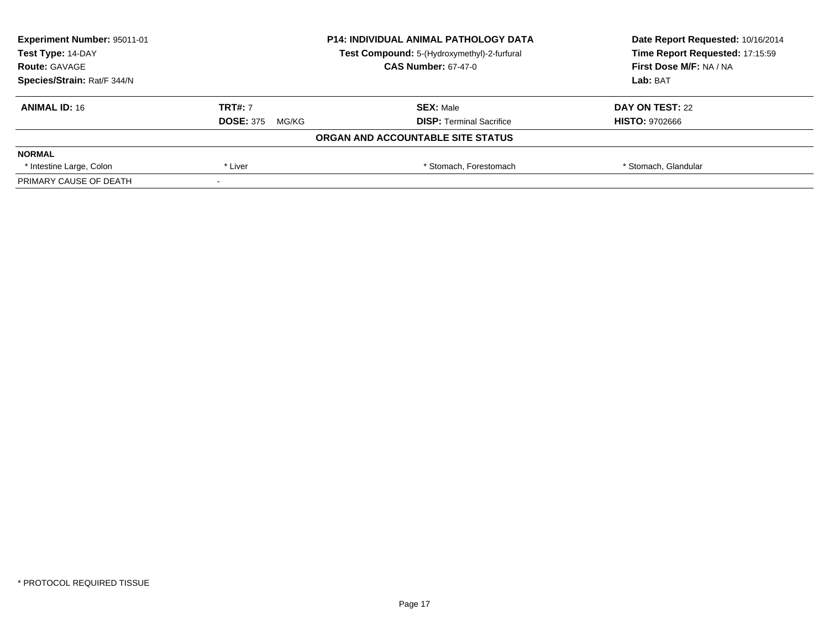| Experiment Number: 95011-01 | <b>P14: INDIVIDUAL ANIMAL PATHOLOGY DATA</b> |                                             | Date Report Requested: 10/16/2014 |
|-----------------------------|----------------------------------------------|---------------------------------------------|-----------------------------------|
| Test Type: 14-DAY           |                                              | Test Compound: 5-(Hydroxymethyl)-2-furfural | Time Report Requested: 17:15:59   |
| <b>Route: GAVAGE</b>        |                                              | <b>CAS Number: 67-47-0</b>                  | First Dose M/F: NA / NA           |
| Species/Strain: Rat/F 344/N |                                              |                                             | Lab: BAT                          |
| <b>ANIMAL ID: 16</b>        | <b>TRT#: 7</b>                               | <b>SEX: Male</b>                            | DAY ON TEST: 22                   |
|                             | <b>DOSE: 375</b><br>MG/KG                    | <b>DISP:</b> Terminal Sacrifice             | <b>HISTO: 9702666</b>             |
|                             |                                              | ORGAN AND ACCOUNTABLE SITE STATUS           |                                   |
| <b>NORMAL</b>               |                                              |                                             |                                   |
| * Intestine Large, Colon    | * Liver                                      | * Stomach, Forestomach                      | * Stomach, Glandular              |
| PRIMARY CAUSE OF DEATH      |                                              |                                             |                                   |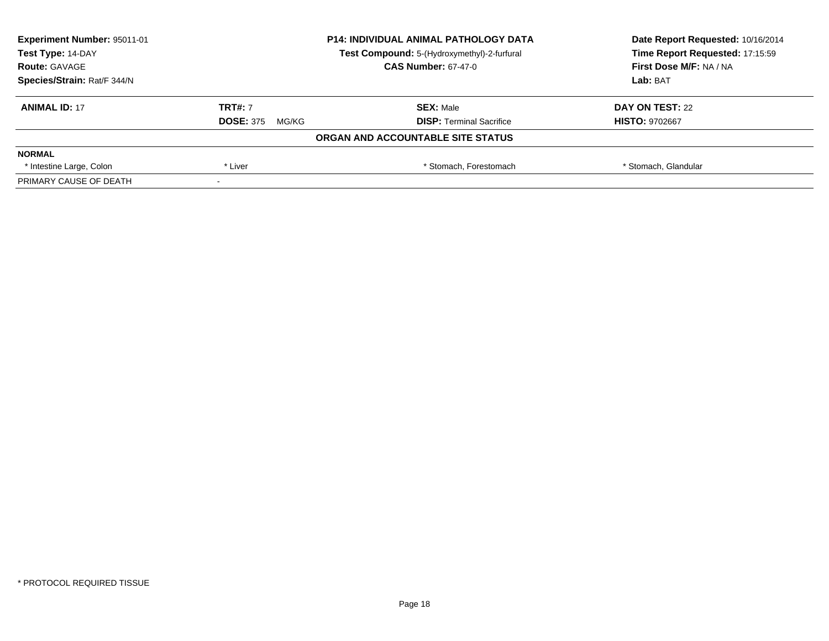| Experiment Number: 95011-01 |                           | <b>P14: INDIVIDUAL ANIMAL PATHOLOGY DATA</b> | Date Report Requested: 10/16/2014 |
|-----------------------------|---------------------------|----------------------------------------------|-----------------------------------|
| Test Type: 14-DAY           |                           | Test Compound: 5-(Hydroxymethyl)-2-furfural  | Time Report Requested: 17:15:59   |
| <b>Route: GAVAGE</b>        |                           | <b>CAS Number: 67-47-0</b>                   | <b>First Dose M/F: NA / NA</b>    |
| Species/Strain: Rat/F 344/N |                           |                                              | Lab: BAT                          |
| <b>ANIMAL ID: 17</b>        | <b>TRT#: 7</b>            | <b>SEX: Male</b>                             | DAY ON TEST: 22                   |
|                             | <b>DOSE: 375</b><br>MG/KG | <b>DISP: Terminal Sacrifice</b>              | <b>HISTO: 9702667</b>             |
|                             |                           | ORGAN AND ACCOUNTABLE SITE STATUS            |                                   |
| <b>NORMAL</b>               |                           |                                              |                                   |
| * Intestine Large, Colon    | * Liver                   | * Stomach. Forestomach                       | * Stomach, Glandular              |
| PRIMARY CAUSE OF DEATH      |                           |                                              |                                   |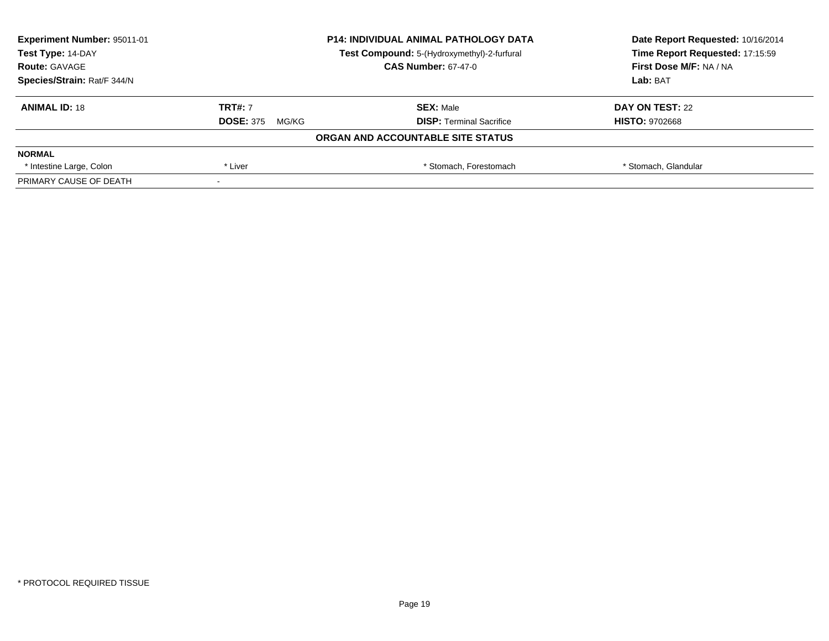| <b>Experiment Number: 95011-01</b> |                           | <b>P14: INDIVIDUAL ANIMAL PATHOLOGY DATA</b> | Date Report Requested: 10/16/2014 |
|------------------------------------|---------------------------|----------------------------------------------|-----------------------------------|
| Test Type: 14-DAY                  |                           | Test Compound: 5-(Hydroxymethyl)-2-furfural  | Time Report Requested: 17:15:59   |
| <b>Route: GAVAGE</b>               |                           | <b>CAS Number: 67-47-0</b>                   | <b>First Dose M/F: NA / NA</b>    |
| Species/Strain: Rat/F 344/N        |                           | Lab: BAT                                     |                                   |
| <b>ANIMAL ID: 18</b>               | <b>TRT#: 7</b>            | <b>SEX: Male</b>                             | DAY ON TEST: 22                   |
|                                    | <b>DOSE: 375</b><br>MG/KG | <b>DISP: Terminal Sacrifice</b>              | <b>HISTO: 9702668</b>             |
|                                    |                           | ORGAN AND ACCOUNTABLE SITE STATUS            |                                   |
| <b>NORMAL</b>                      |                           |                                              |                                   |
| * Intestine Large, Colon           | * Liver                   | * Stomach. Forestomach                       | * Stomach, Glandular              |
| PRIMARY CAUSE OF DEATH             |                           |                                              |                                   |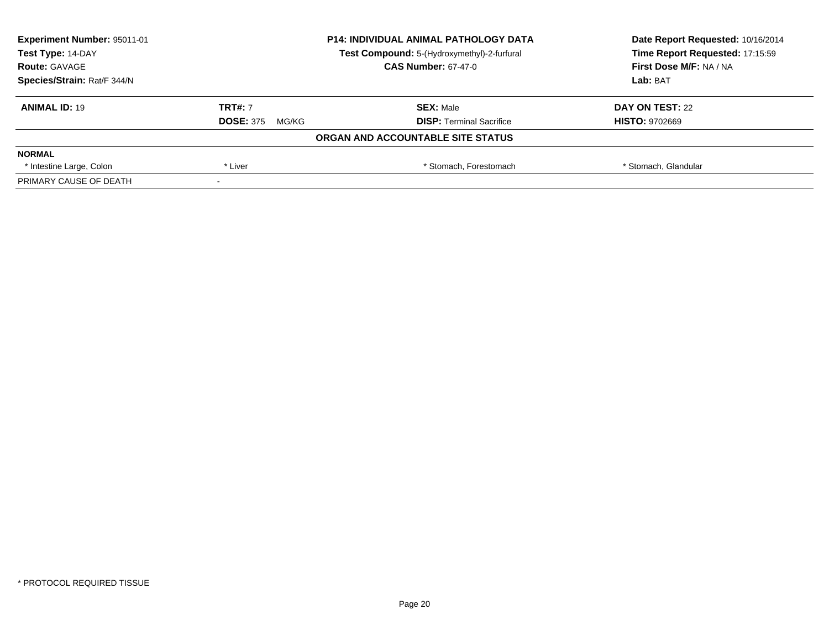| <b>Experiment Number: 95011-01</b> |                           | <b>P14: INDIVIDUAL ANIMAL PATHOLOGY DATA</b> | Date Report Requested: 10/16/2014 |  |
|------------------------------------|---------------------------|----------------------------------------------|-----------------------------------|--|
| Test Type: 14-DAY                  |                           | Test Compound: 5-(Hydroxymethyl)-2-furfural  | Time Report Requested: 17:15:59   |  |
| <b>Route: GAVAGE</b>               |                           | <b>CAS Number: 67-47-0</b>                   | <b>First Dose M/F: NA / NA</b>    |  |
| Species/Strain: Rat/F 344/N        |                           |                                              | Lab: BAT                          |  |
| <b>ANIMAL ID: 19</b>               | <b>TRT#: 7</b>            | <b>SEX: Male</b>                             | DAY ON TEST: 22                   |  |
|                                    | <b>DOSE: 375</b><br>MG/KG | <b>DISP: Terminal Sacrifice</b>              | <b>HISTO: 9702669</b>             |  |
|                                    |                           | ORGAN AND ACCOUNTABLE SITE STATUS            |                                   |  |
| <b>NORMAL</b>                      |                           |                                              |                                   |  |
| * Intestine Large, Colon           | * Liver                   | * Stomach. Forestomach                       | * Stomach, Glandular              |  |
| PRIMARY CAUSE OF DEATH             |                           |                                              |                                   |  |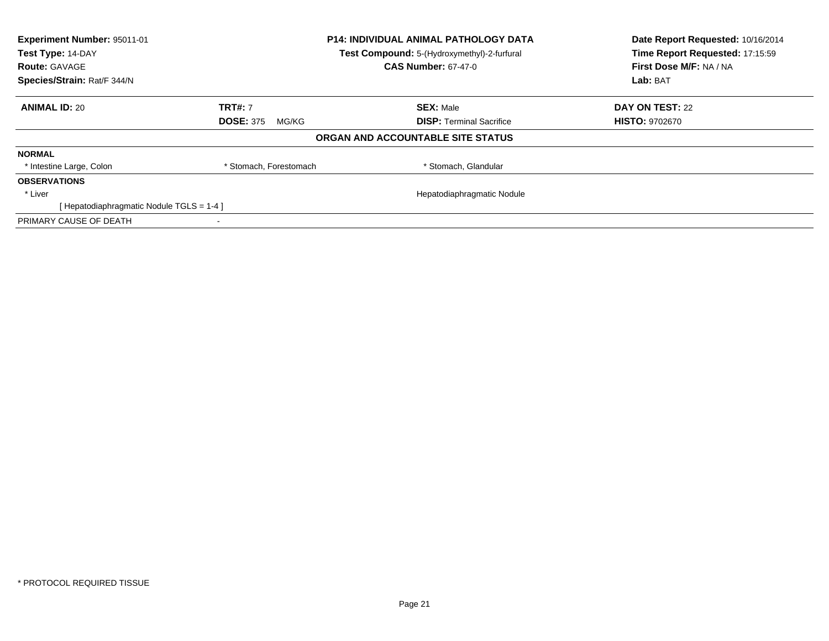| Experiment Number: 95011-01<br><b>P14: INDIVIDUAL ANIMAL PATHOLOGY DATA</b><br>Test Type: 14-DAY<br>Test Compound: 5-(Hydroxymethyl)-2-furfural |                           | Date Report Requested: 10/16/2014<br>Time Report Requested: 17:15:59 |                                     |
|-------------------------------------------------------------------------------------------------------------------------------------------------|---------------------------|----------------------------------------------------------------------|-------------------------------------|
| <b>Route: GAVAGE</b><br>Species/Strain: Rat/F 344/N                                                                                             |                           | <b>CAS Number: 67-47-0</b>                                           | First Dose M/F: NA / NA<br>Lab: BAT |
|                                                                                                                                                 |                           |                                                                      |                                     |
| <b>ANIMAL ID: 20</b>                                                                                                                            | <b>TRT#: 7</b>            | <b>SEX: Male</b>                                                     | DAY ON TEST: 22                     |
|                                                                                                                                                 | <b>DOSE: 375</b><br>MG/KG | <b>DISP:</b> Terminal Sacrifice                                      | <b>HISTO: 9702670</b>               |
|                                                                                                                                                 |                           | ORGAN AND ACCOUNTABLE SITE STATUS                                    |                                     |
| <b>NORMAL</b>                                                                                                                                   |                           |                                                                      |                                     |
| * Intestine Large, Colon                                                                                                                        | * Stomach, Forestomach    | * Stomach, Glandular                                                 |                                     |
| <b>OBSERVATIONS</b>                                                                                                                             |                           |                                                                      |                                     |
| * Liver                                                                                                                                         |                           | Hepatodiaphragmatic Nodule                                           |                                     |
| [Hepatodiaphragmatic Nodule TGLS = 1-4]                                                                                                         |                           |                                                                      |                                     |
| PRIMARY CAUSE OF DEATH                                                                                                                          |                           |                                                                      |                                     |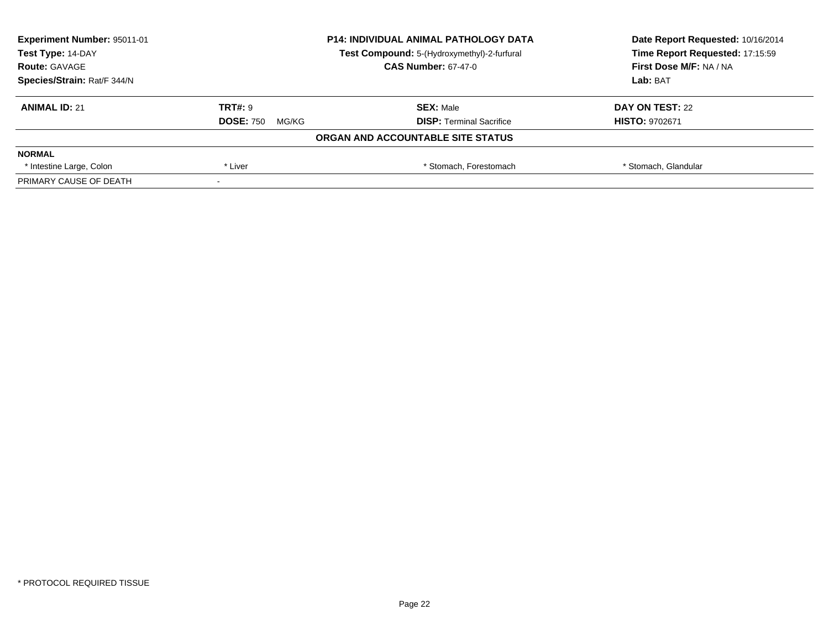| Experiment Number: 95011-01 | <b>P14: INDIVIDUAL ANIMAL PATHOLOGY DATA</b> |                                             | Date Report Requested: 10/16/2014 |
|-----------------------------|----------------------------------------------|---------------------------------------------|-----------------------------------|
| Test Type: 14-DAY           |                                              | Test Compound: 5-(Hydroxymethyl)-2-furfural | Time Report Requested: 17:15:59   |
| <b>Route: GAVAGE</b>        |                                              | <b>CAS Number: 67-47-0</b>                  | First Dose M/F: NA / NA           |
| Species/Strain: Rat/F 344/N |                                              |                                             | Lab: BAT                          |
| <b>ANIMAL ID: 21</b>        | <b>TRT#: 9</b>                               | <b>SEX: Male</b>                            | DAY ON TEST: 22                   |
|                             | <b>DOSE: 750</b><br>MG/KG                    | <b>DISP:</b> Terminal Sacrifice             | <b>HISTO: 9702671</b>             |
|                             |                                              | ORGAN AND ACCOUNTABLE SITE STATUS           |                                   |
| <b>NORMAL</b>               |                                              |                                             |                                   |
| * Intestine Large, Colon    | * Liver                                      | * Stomach, Forestomach                      | * Stomach, Glandular              |
| PRIMARY CAUSE OF DEATH      |                                              |                                             |                                   |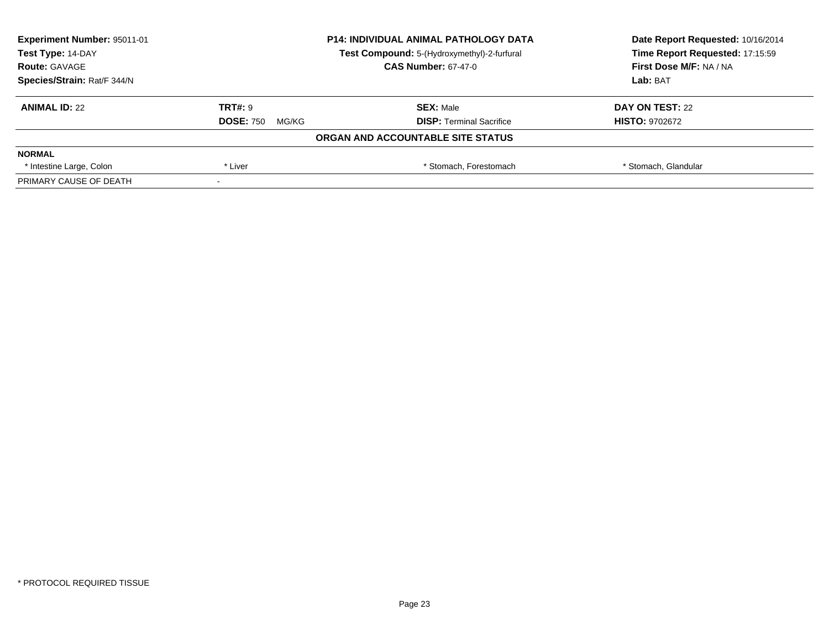| Experiment Number: 95011-01 | <b>P14: INDIVIDUAL ANIMAL PATHOLOGY DATA</b><br>Test Compound: 5-(Hydroxymethyl)-2-furfural |                                   | Date Report Requested: 10/16/2014<br>Time Report Requested: 17:15:59 |
|-----------------------------|---------------------------------------------------------------------------------------------|-----------------------------------|----------------------------------------------------------------------|
| Test Type: 14-DAY           |                                                                                             |                                   |                                                                      |
| <b>Route: GAVAGE</b>        |                                                                                             | <b>CAS Number: 67-47-0</b>        | First Dose M/F: NA / NA                                              |
| Species/Strain: Rat/F 344/N |                                                                                             |                                   | Lab: BAT                                                             |
| <b>ANIMAL ID: 22</b>        | <b>TRT#: 9</b>                                                                              | <b>SEX: Male</b>                  | DAY ON TEST: 22                                                      |
|                             | <b>DOSE: 750</b><br>MG/KG                                                                   | <b>DISP:</b> Terminal Sacrifice   | <b>HISTO: 9702672</b>                                                |
|                             |                                                                                             | ORGAN AND ACCOUNTABLE SITE STATUS |                                                                      |
| <b>NORMAL</b>               |                                                                                             |                                   |                                                                      |
| * Intestine Large, Colon    | * Liver                                                                                     | * Stomach, Forestomach            | * Stomach, Glandular                                                 |
| PRIMARY CAUSE OF DEATH      |                                                                                             |                                   |                                                                      |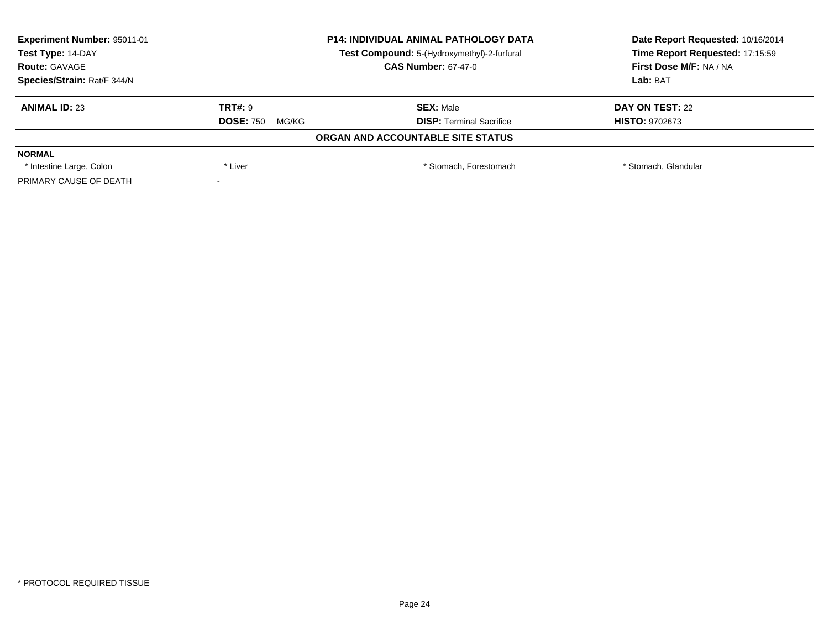| Experiment Number: 95011-01 | <b>P14: INDIVIDUAL ANIMAL PATHOLOGY DATA</b><br>Test Compound: 5-(Hydroxymethyl)-2-furfural |                                   | Date Report Requested: 10/16/2014<br>Time Report Requested: 17:15:59 |
|-----------------------------|---------------------------------------------------------------------------------------------|-----------------------------------|----------------------------------------------------------------------|
| Test Type: 14-DAY           |                                                                                             |                                   |                                                                      |
| <b>Route: GAVAGE</b>        |                                                                                             | <b>CAS Number: 67-47-0</b>        | First Dose M/F: NA / NA                                              |
| Species/Strain: Rat/F 344/N |                                                                                             |                                   | Lab: BAT                                                             |
| <b>ANIMAL ID: 23</b>        | <b>TRT#: 9</b>                                                                              | <b>SEX: Male</b>                  | DAY ON TEST: 22                                                      |
|                             | <b>DOSE: 750</b><br>MG/KG                                                                   | <b>DISP:</b> Terminal Sacrifice   | <b>HISTO: 9702673</b>                                                |
|                             |                                                                                             | ORGAN AND ACCOUNTABLE SITE STATUS |                                                                      |
| <b>NORMAL</b>               |                                                                                             |                                   |                                                                      |
| * Intestine Large, Colon    | * Liver                                                                                     | * Stomach, Forestomach            | * Stomach, Glandular                                                 |
| PRIMARY CAUSE OF DEATH      |                                                                                             |                                   |                                                                      |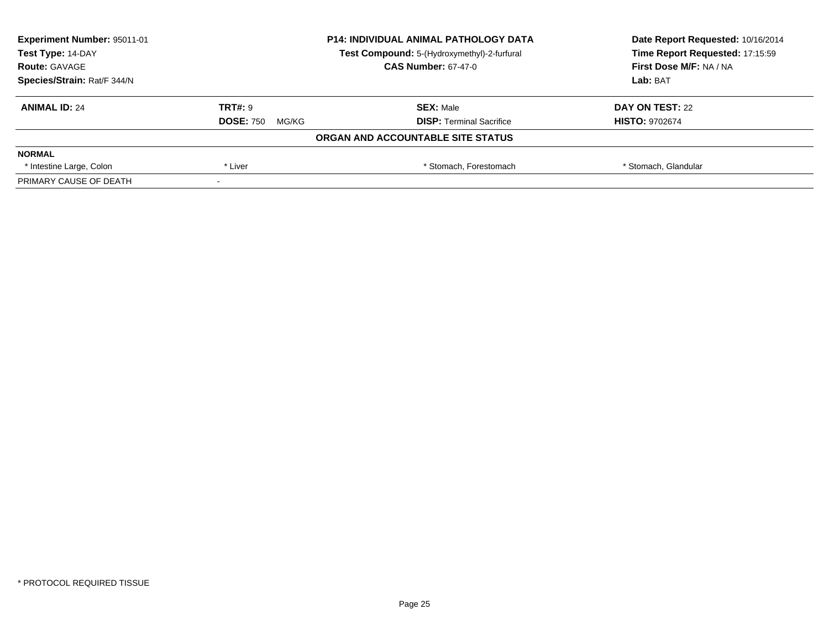| <b>Experiment Number: 95011-01</b> |                           | <b>P14: INDIVIDUAL ANIMAL PATHOLOGY DATA</b> | Date Report Requested: 10/16/2014 |
|------------------------------------|---------------------------|----------------------------------------------|-----------------------------------|
| Test Type: 14-DAY                  |                           | Test Compound: 5-(Hydroxymethyl)-2-furfural  | Time Report Requested: 17:15:59   |
| <b>Route: GAVAGE</b>               |                           | <b>CAS Number: 67-47-0</b>                   | <b>First Dose M/F: NA / NA</b>    |
| Species/Strain: Rat/F 344/N        |                           |                                              | Lab: BAT                          |
| <b>ANIMAL ID: 24</b>               | <b>TRT#: 9</b>            | <b>SEX: Male</b>                             | DAY ON TEST: 22                   |
|                                    | <b>DOSE: 750</b><br>MG/KG | <b>DISP: Terminal Sacrifice</b>              | <b>HISTO: 9702674</b>             |
|                                    |                           | ORGAN AND ACCOUNTABLE SITE STATUS            |                                   |
| <b>NORMAL</b>                      |                           |                                              |                                   |
| * Intestine Large, Colon           | * Liver                   | * Stomach. Forestomach                       | * Stomach, Glandular              |
| PRIMARY CAUSE OF DEATH             |                           |                                              |                                   |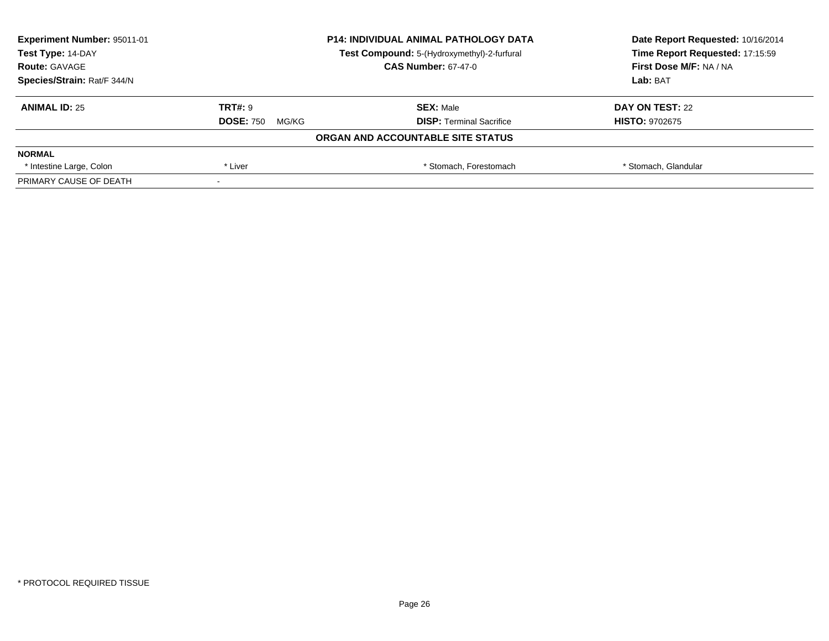| Experiment Number: 95011-01 | <b>P14: INDIVIDUAL ANIMAL PATHOLOGY DATA</b><br>Test Compound: 5-(Hydroxymethyl)-2-furfural |                                   | Date Report Requested: 10/16/2014 |
|-----------------------------|---------------------------------------------------------------------------------------------|-----------------------------------|-----------------------------------|
| Test Type: 14-DAY           |                                                                                             |                                   | Time Report Requested: 17:15:59   |
| <b>Route: GAVAGE</b>        |                                                                                             | <b>CAS Number: 67-47-0</b>        | First Dose M/F: NA / NA           |
| Species/Strain: Rat/F 344/N |                                                                                             |                                   | Lab: BAT                          |
| <b>ANIMAL ID: 25</b>        | <b>TRT#: 9</b>                                                                              | <b>SEX: Male</b>                  | DAY ON TEST: 22                   |
|                             | <b>DOSE: 750</b><br>MG/KG                                                                   | <b>DISP:</b> Terminal Sacrifice   | <b>HISTO: 9702675</b>             |
|                             |                                                                                             | ORGAN AND ACCOUNTABLE SITE STATUS |                                   |
| <b>NORMAL</b>               |                                                                                             |                                   |                                   |
| * Intestine Large, Colon    | * Liver                                                                                     | * Stomach, Forestomach            | * Stomach, Glandular              |
| PRIMARY CAUSE OF DEATH      |                                                                                             |                                   |                                   |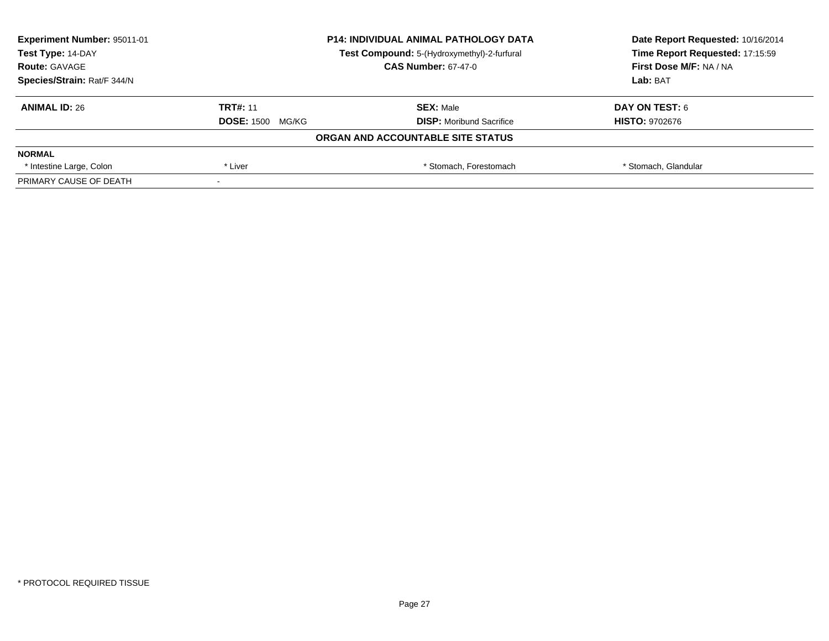| <b>Experiment Number: 95011-01</b> | <b>P14: INDIVIDUAL ANIMAL PATHOLOGY DATA</b> |                                             | Date Report Requested: 10/16/2014 |
|------------------------------------|----------------------------------------------|---------------------------------------------|-----------------------------------|
| Test Type: 14-DAY                  |                                              | Test Compound: 5-(Hydroxymethyl)-2-furfural | Time Report Requested: 17:15:59   |
| <b>Route: GAVAGE</b>               |                                              | <b>CAS Number: 67-47-0</b>                  | <b>First Dose M/F: NA / NA</b>    |
| Species/Strain: Rat/F 344/N        |                                              |                                             | Lab: BAT                          |
| <b>ANIMAL ID: 26</b>               | <b>TRT#: 11</b>                              | <b>SEX: Male</b>                            | DAY ON TEST: 6                    |
|                                    | <b>DOSE: 1500 MG/KG</b>                      | <b>DISP:</b> Moribund Sacrifice             | <b>HISTO: 9702676</b>             |
|                                    |                                              | ORGAN AND ACCOUNTABLE SITE STATUS           |                                   |
| <b>NORMAL</b>                      |                                              |                                             |                                   |
| * Intestine Large, Colon           | * Liver                                      | * Stomach. Forestomach                      | * Stomach, Glandular              |
| PRIMARY CAUSE OF DEATH             |                                              |                                             |                                   |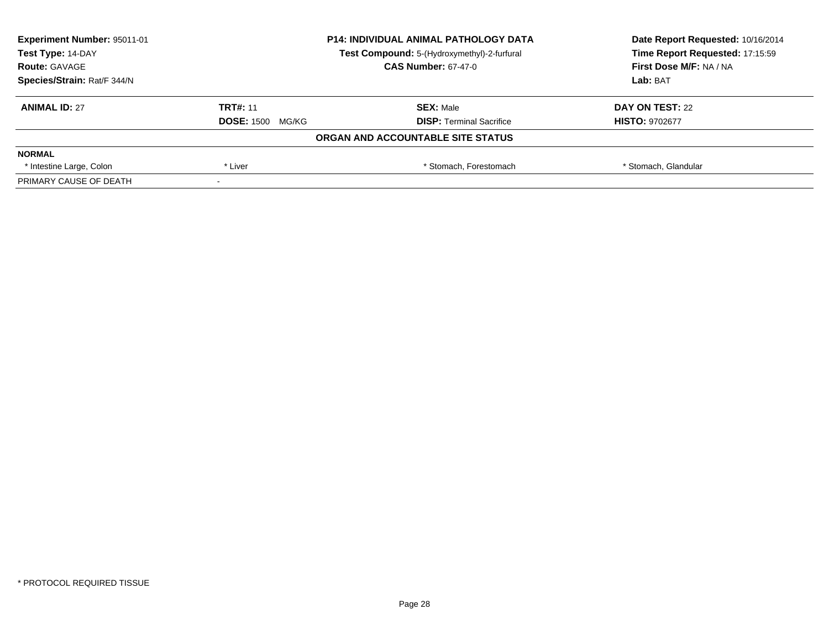| Experiment Number: 95011-01 | <b>P14: INDIVIDUAL ANIMAL PATHOLOGY DATA</b> |                                             | Date Report Requested: 10/16/2014 |
|-----------------------------|----------------------------------------------|---------------------------------------------|-----------------------------------|
| Test Type: 14-DAY           |                                              | Test Compound: 5-(Hydroxymethyl)-2-furfural | Time Report Requested: 17:15:59   |
| <b>Route: GAVAGE</b>        |                                              | <b>CAS Number: 67-47-0</b>                  | First Dose M/F: NA / NA           |
| Species/Strain: Rat/F 344/N |                                              |                                             | Lab: BAT                          |
| <b>ANIMAL ID: 27</b>        | <b>TRT#: 11</b>                              | <b>SEX: Male</b>                            | DAY ON TEST: 22                   |
|                             | <b>DOSE: 1500 MG/KG</b>                      | <b>DISP:</b> Terminal Sacrifice             | <b>HISTO: 9702677</b>             |
|                             |                                              | ORGAN AND ACCOUNTABLE SITE STATUS           |                                   |
| <b>NORMAL</b>               |                                              |                                             |                                   |
| * Intestine Large, Colon    | * Liver                                      | * Stomach, Forestomach                      | * Stomach, Glandular              |
| PRIMARY CAUSE OF DEATH      |                                              |                                             |                                   |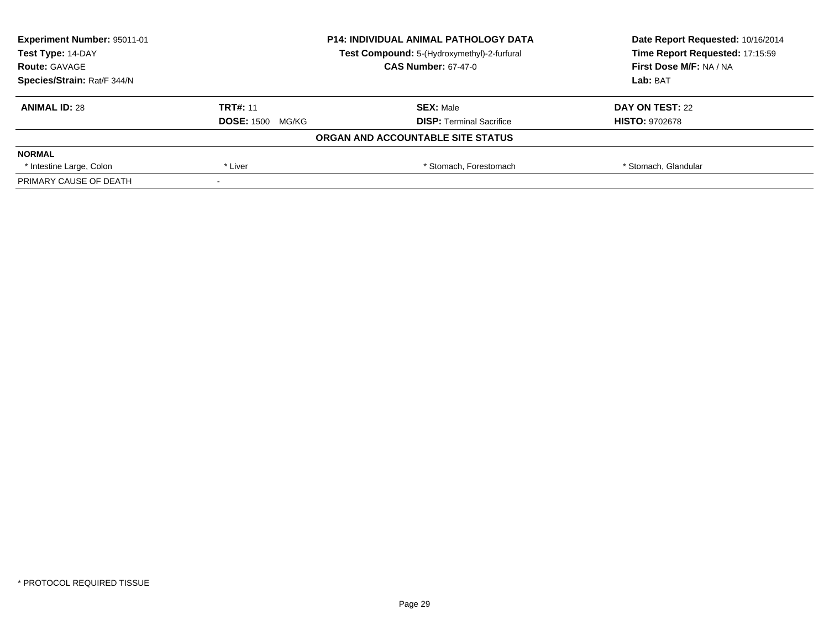| <b>Experiment Number: 95011-01</b>                               | <b>P14: INDIVIDUAL ANIMAL PATHOLOGY DATA</b> |                                   | Date Report Requested: 10/16/2014 |
|------------------------------------------------------------------|----------------------------------------------|-----------------------------------|-----------------------------------|
| Test Type: 14-DAY<br>Test Compound: 5-(Hydroxymethyl)-2-furfural |                                              | Time Report Requested: 17:15:59   |                                   |
| <b>Route: GAVAGE</b>                                             |                                              | <b>CAS Number: 67-47-0</b>        | First Dose M/F: NA / NA           |
| Species/Strain: Rat/F 344/N                                      |                                              |                                   | Lab: BAT                          |
| <b>ANIMAL ID: 28</b>                                             | <b>TRT#: 11</b>                              | <b>SEX: Male</b>                  | DAY ON TEST: 22                   |
|                                                                  | <b>DOSE: 1500 MG/KG</b>                      | <b>DISP: Terminal Sacrifice</b>   | <b>HISTO: 9702678</b>             |
|                                                                  |                                              | ORGAN AND ACCOUNTABLE SITE STATUS |                                   |
| <b>NORMAL</b>                                                    |                                              |                                   |                                   |
| * Intestine Large, Colon                                         | * Liver                                      | * Stomach. Forestomach            | * Stomach, Glandular              |
| PRIMARY CAUSE OF DEATH                                           |                                              |                                   |                                   |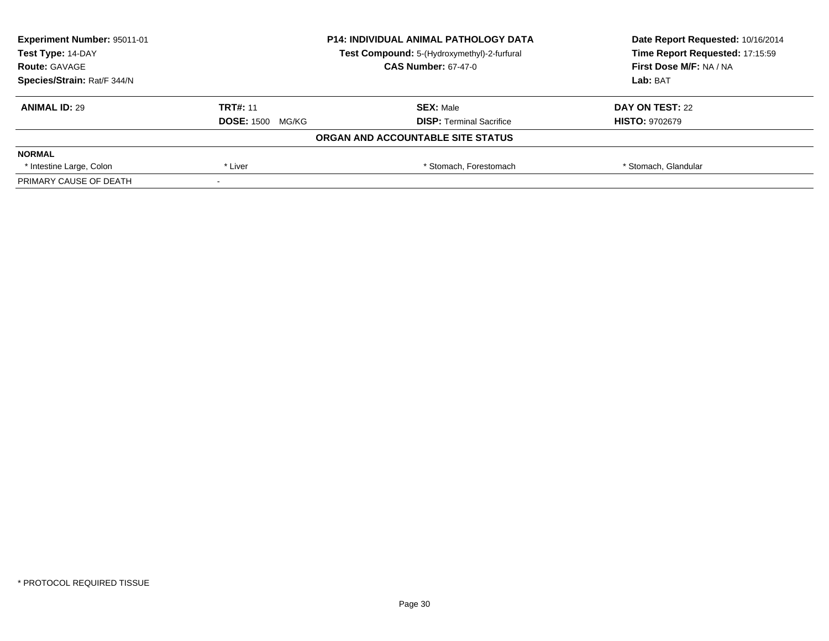| Experiment Number: 95011-01 | <b>P14: INDIVIDUAL ANIMAL PATHOLOGY DATA</b> |                                             | Date Report Requested: 10/16/2014 |
|-----------------------------|----------------------------------------------|---------------------------------------------|-----------------------------------|
| Test Type: 14-DAY           |                                              | Test Compound: 5-(Hydroxymethyl)-2-furfural | Time Report Requested: 17:15:59   |
| <b>Route: GAVAGE</b>        |                                              | <b>CAS Number: 67-47-0</b>                  | First Dose M/F: NA / NA           |
| Species/Strain: Rat/F 344/N |                                              |                                             | Lab: BAT                          |
| <b>ANIMAL ID: 29</b>        | <b>TRT#: 11</b>                              | <b>SEX: Male</b>                            | DAY ON TEST: 22                   |
|                             | <b>DOSE: 1500 MG/KG</b>                      | <b>DISP:</b> Terminal Sacrifice             | <b>HISTO: 9702679</b>             |
|                             |                                              | ORGAN AND ACCOUNTABLE SITE STATUS           |                                   |
| <b>NORMAL</b>               |                                              |                                             |                                   |
| * Intestine Large, Colon    | * Liver                                      | * Stomach, Forestomach                      | * Stomach, Glandular              |
| PRIMARY CAUSE OF DEATH      |                                              |                                             |                                   |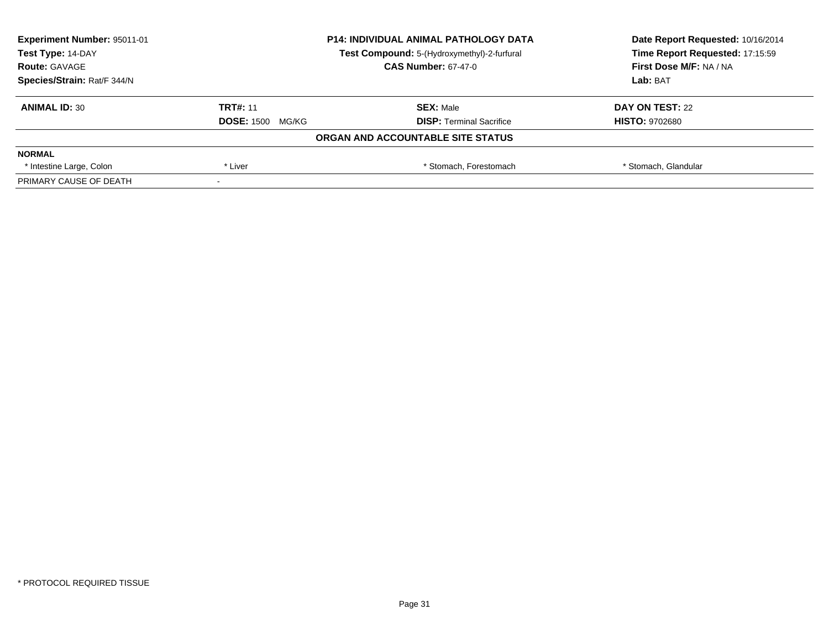| <b>Experiment Number: 95011-01</b> |                         | <b>P14: INDIVIDUAL ANIMAL PATHOLOGY DATA</b> | Date Report Requested: 10/16/2014 |
|------------------------------------|-------------------------|----------------------------------------------|-----------------------------------|
| Test Type: 14-DAY                  |                         | Test Compound: 5-(Hydroxymethyl)-2-furfural  | Time Report Requested: 17:15:59   |
| <b>Route: GAVAGE</b>               |                         | <b>CAS Number: 67-47-0</b>                   | First Dose M/F: NA / NA           |
| Species/Strain: Rat/F 344/N        |                         |                                              | Lab: BAT                          |
| <b>ANIMAL ID: 30</b>               | <b>TRT#: 11</b>         | <b>SEX: Male</b>                             | DAY ON TEST: 22                   |
|                                    | <b>DOSE: 1500 MG/KG</b> | <b>DISP: Terminal Sacrifice</b>              | <b>HISTO: 9702680</b>             |
|                                    |                         | ORGAN AND ACCOUNTABLE SITE STATUS            |                                   |
| <b>NORMAL</b>                      |                         |                                              |                                   |
| * Intestine Large, Colon           | * Liver                 | * Stomach. Forestomach                       | * Stomach, Glandular              |
| PRIMARY CAUSE OF DEATH             |                         |                                              |                                   |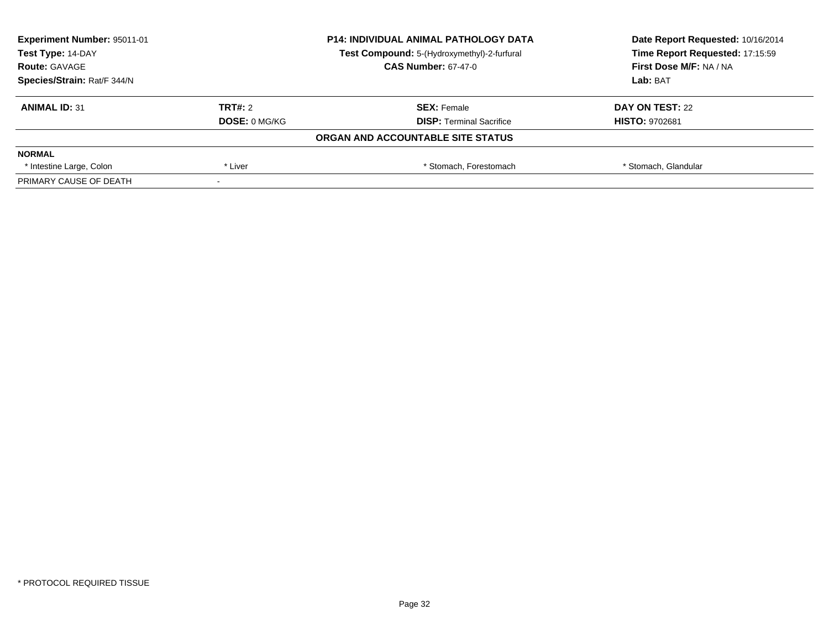| Experiment Number: 95011-01<br>Test Type: 14-DAY |                      | <b>P14: INDIVIDUAL ANIMAL PATHOLOGY DATA</b> | Date Report Requested: 10/16/2014 |
|--------------------------------------------------|----------------------|----------------------------------------------|-----------------------------------|
|                                                  |                      | Test Compound: 5-(Hydroxymethyl)-2-furfural  | Time Report Requested: 17:15:59   |
| <b>Route: GAVAGE</b>                             |                      | <b>CAS Number: 67-47-0</b>                   | First Dose M/F: NA / NA           |
| Species/Strain: Rat/F 344/N                      |                      |                                              | Lab: BAT                          |
| <b>ANIMAL ID: 31</b>                             | TRT#: 2              | <b>SEX: Female</b>                           | DAY ON TEST: 22                   |
|                                                  | <b>DOSE: 0 MG/KG</b> | <b>DISP: Terminal Sacrifice</b>              | <b>HISTO: 9702681</b>             |
|                                                  |                      | ORGAN AND ACCOUNTABLE SITE STATUS            |                                   |
| <b>NORMAL</b>                                    |                      |                                              |                                   |
| * Intestine Large, Colon                         | * Liver              | * Stomach, Forestomach                       | * Stomach, Glandular              |
| PRIMARY CAUSE OF DEATH                           |                      |                                              |                                   |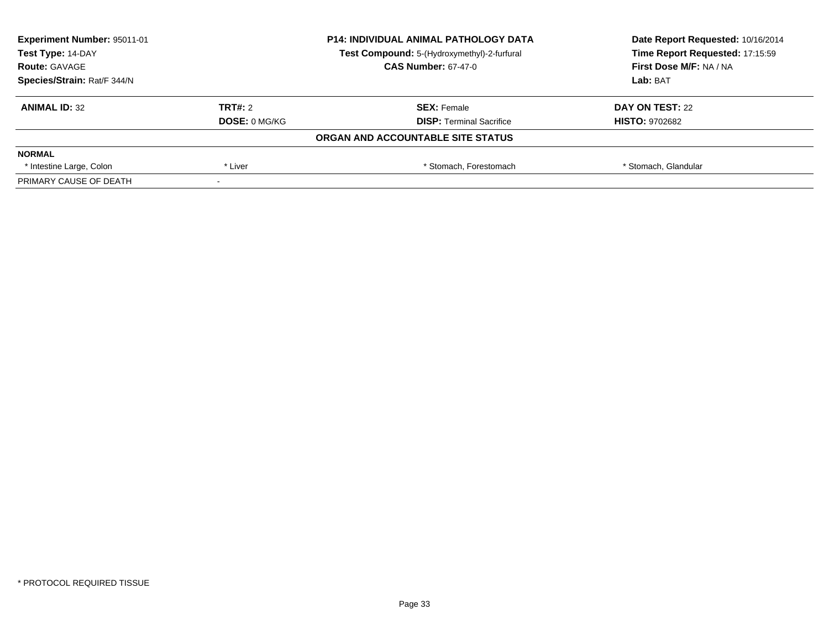| <b>Experiment Number: 95011-01</b><br>Test Type: 14-DAY |                      | <b>P14: INDIVIDUAL ANIMAL PATHOLOGY DATA</b> | Date Report Requested: 10/16/2014 |
|---------------------------------------------------------|----------------------|----------------------------------------------|-----------------------------------|
|                                                         |                      | Test Compound: 5-(Hydroxymethyl)-2-furfural  | Time Report Requested: 17:15:59   |
| <b>Route: GAVAGE</b>                                    |                      | <b>CAS Number: 67-47-0</b>                   | First Dose M/F: NA / NA           |
| Species/Strain: Rat/F 344/N                             |                      |                                              | Lab: BAT                          |
| <b>ANIMAL ID: 32</b>                                    | TRT#: 2              | <b>SEX: Female</b>                           | DAY ON TEST: 22                   |
|                                                         | <b>DOSE: 0 MG/KG</b> | <b>DISP:</b> Terminal Sacrifice              | <b>HISTO: 9702682</b>             |
|                                                         |                      | ORGAN AND ACCOUNTABLE SITE STATUS            |                                   |
| <b>NORMAL</b>                                           |                      |                                              |                                   |
| * Intestine Large, Colon                                | * Liver              | * Stomach. Forestomach                       | * Stomach, Glandular              |
| PRIMARY CAUSE OF DEATH                                  |                      |                                              |                                   |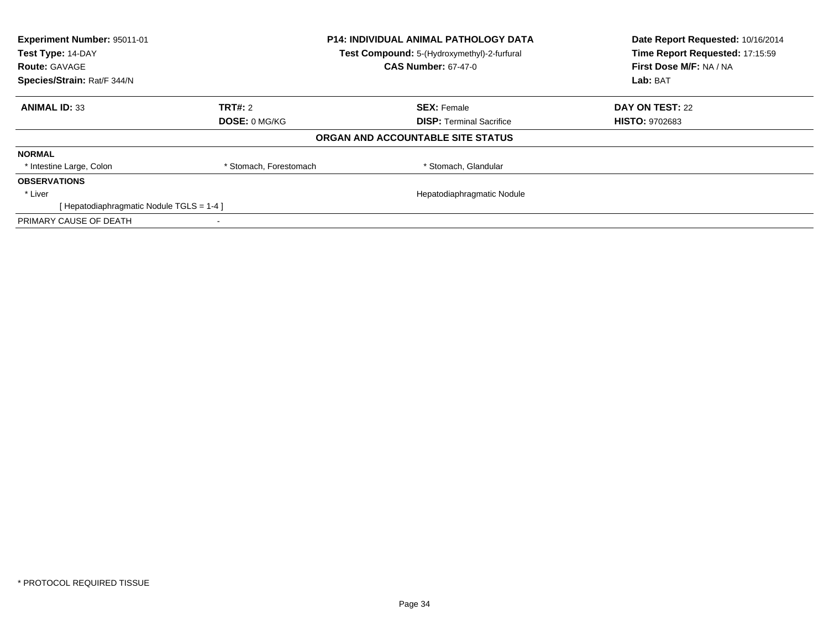| Experiment Number: 95011-01<br><b>P14: INDIVIDUAL ANIMAL PATHOLOGY DATA</b><br>Test Type: 14-DAY<br>Test Compound: 5-(Hydroxymethyl)-2-furfural |                        |                                   | Date Report Requested: 10/16/2014 |
|-------------------------------------------------------------------------------------------------------------------------------------------------|------------------------|-----------------------------------|-----------------------------------|
|                                                                                                                                                 |                        |                                   | Time Report Requested: 17:15:59   |
| <b>Route: GAVAGE</b>                                                                                                                            |                        | <b>CAS Number: 67-47-0</b>        | First Dose M/F: NA / NA           |
| Species/Strain: Rat/F 344/N                                                                                                                     |                        |                                   | Lab: BAT                          |
| <b>ANIMAL ID: 33</b>                                                                                                                            | <b>TRT#:</b> 2         | <b>SEX: Female</b>                | DAY ON TEST: 22                   |
|                                                                                                                                                 | <b>DOSE: 0 MG/KG</b>   | <b>DISP:</b> Terminal Sacrifice   | <b>HISTO: 9702683</b>             |
|                                                                                                                                                 |                        | ORGAN AND ACCOUNTABLE SITE STATUS |                                   |
| <b>NORMAL</b>                                                                                                                                   |                        |                                   |                                   |
| * Intestine Large, Colon                                                                                                                        | * Stomach, Forestomach | * Stomach, Glandular              |                                   |
| <b>OBSERVATIONS</b>                                                                                                                             |                        |                                   |                                   |
| * Liver                                                                                                                                         |                        | Hepatodiaphragmatic Nodule        |                                   |
| [Hepatodiaphragmatic Nodule TGLS = 1-4]                                                                                                         |                        |                                   |                                   |
| PRIMARY CAUSE OF DEATH                                                                                                                          |                        |                                   |                                   |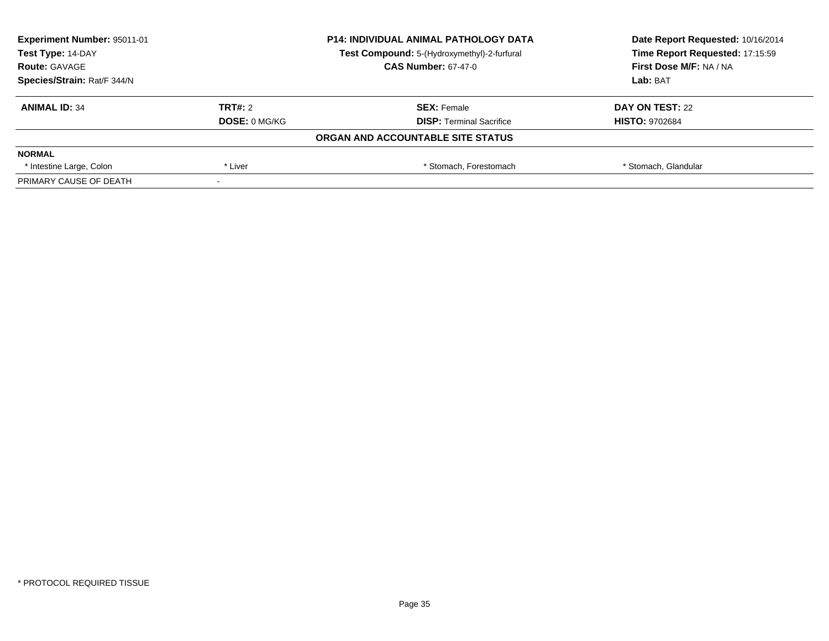| <b>Experiment Number: 95011-01</b><br>Test Type: 14-DAY |                      | <b>P14: INDIVIDUAL ANIMAL PATHOLOGY DATA</b> | Date Report Requested: 10/16/2014 |
|---------------------------------------------------------|----------------------|----------------------------------------------|-----------------------------------|
|                                                         |                      | Test Compound: 5-(Hydroxymethyl)-2-furfural  | Time Report Requested: 17:15:59   |
| <b>Route: GAVAGE</b>                                    |                      | <b>CAS Number: 67-47-0</b>                   | First Dose M/F: NA / NA           |
| Species/Strain: Rat/F 344/N                             |                      |                                              | Lab: BAT                          |
| <b>ANIMAL ID: 34</b>                                    | TRT#: 2              | <b>SEX: Female</b>                           | DAY ON TEST: 22                   |
|                                                         | <b>DOSE: 0 MG/KG</b> | <b>DISP:</b> Terminal Sacrifice              | <b>HISTO: 9702684</b>             |
|                                                         |                      | ORGAN AND ACCOUNTABLE SITE STATUS            |                                   |
| <b>NORMAL</b>                                           |                      |                                              |                                   |
| * Intestine Large, Colon                                | * Liver              | * Stomach. Forestomach                       | * Stomach, Glandular              |
| PRIMARY CAUSE OF DEATH                                  |                      |                                              |                                   |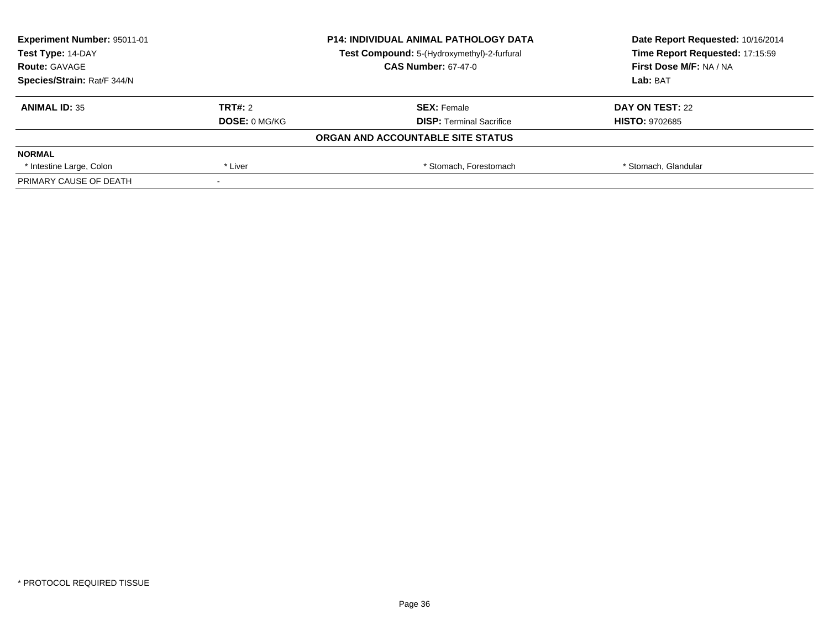| <b>Experiment Number: 95011-01</b><br>Test Type: 14-DAY |                      | <b>P14: INDIVIDUAL ANIMAL PATHOLOGY DATA</b> | Date Report Requested: 10/16/2014 |
|---------------------------------------------------------|----------------------|----------------------------------------------|-----------------------------------|
|                                                         |                      | Test Compound: 5-(Hydroxymethyl)-2-furfural  | Time Report Requested: 17:15:59   |
| <b>Route: GAVAGE</b>                                    |                      | <b>CAS Number: 67-47-0</b>                   | First Dose M/F: NA / NA           |
| Species/Strain: Rat/F 344/N                             |                      |                                              | Lab: BAT                          |
| <b>ANIMAL ID: 35</b>                                    | TRT#: 2              | <b>SEX: Female</b>                           | DAY ON TEST: 22                   |
|                                                         | <b>DOSE: 0 MG/KG</b> | <b>DISP:</b> Terminal Sacrifice              | <b>HISTO: 9702685</b>             |
|                                                         |                      | ORGAN AND ACCOUNTABLE SITE STATUS            |                                   |
| <b>NORMAL</b>                                           |                      |                                              |                                   |
| * Intestine Large, Colon                                | * Liver              | * Stomach. Forestomach                       | * Stomach, Glandular              |
| PRIMARY CAUSE OF DEATH                                  |                      |                                              |                                   |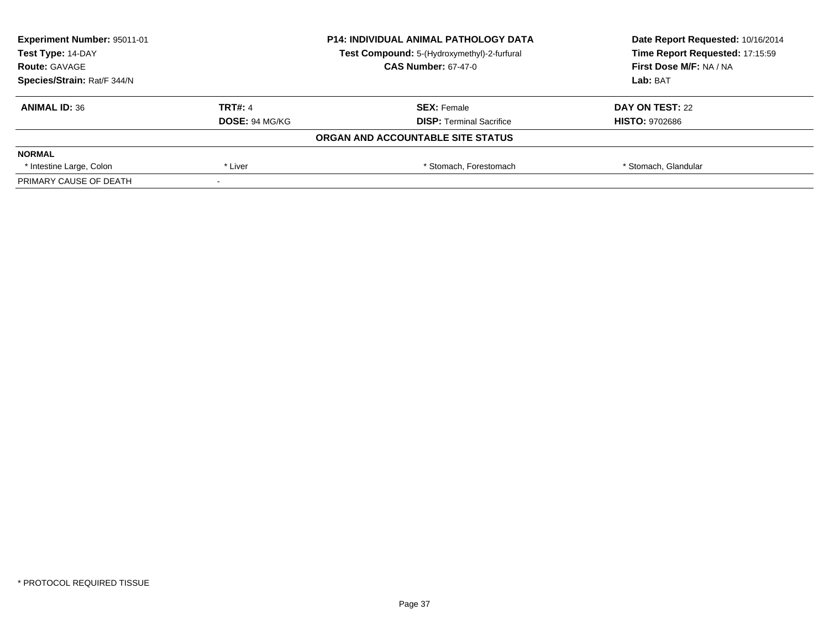| <b>Experiment Number: 95011-01</b><br>Test Type: 14-DAY |                       | <b>P14: INDIVIDUAL ANIMAL PATHOLOGY DATA</b> | Date Report Requested: 10/16/2014<br>Time Report Requested: 17:15:59 |
|---------------------------------------------------------|-----------------------|----------------------------------------------|----------------------------------------------------------------------|
|                                                         |                       | Test Compound: 5-(Hydroxymethyl)-2-furfural  |                                                                      |
| <b>Route: GAVAGE</b>                                    |                       | <b>CAS Number: 67-47-0</b>                   | First Dose M/F: NA / NA                                              |
| Species/Strain: Rat/F 344/N                             |                       |                                              | Lab: BAT                                                             |
| <b>ANIMAL ID: 36</b>                                    | <b>TRT#: 4</b>        | <b>SEX: Female</b>                           | DAY ON TEST: 22                                                      |
|                                                         | <b>DOSE: 94 MG/KG</b> | <b>DISP: Terminal Sacrifice</b>              | <b>HISTO: 9702686</b>                                                |
|                                                         |                       | ORGAN AND ACCOUNTABLE SITE STATUS            |                                                                      |
| <b>NORMAL</b>                                           |                       |                                              |                                                                      |
| * Intestine Large, Colon                                | * Liver               | * Stomach. Forestomach                       | * Stomach, Glandular                                                 |
| PRIMARY CAUSE OF DEATH                                  |                       |                                              |                                                                      |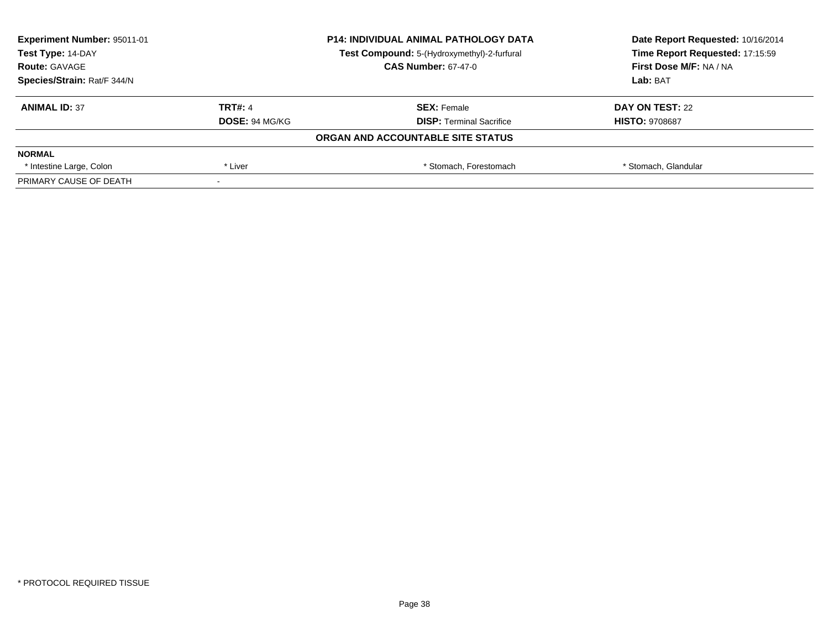| <b>Experiment Number: 95011-01</b><br>Test Type: 14-DAY |                       | <b>P14: INDIVIDUAL ANIMAL PATHOLOGY DATA</b> | Date Report Requested: 10/16/2014<br>Time Report Requested: 17:15:59 |
|---------------------------------------------------------|-----------------------|----------------------------------------------|----------------------------------------------------------------------|
|                                                         |                       | Test Compound: 5-(Hydroxymethyl)-2-furfural  |                                                                      |
| <b>Route: GAVAGE</b>                                    |                       | <b>CAS Number: 67-47-0</b>                   | First Dose M/F: NA / NA                                              |
| Species/Strain: Rat/F 344/N                             |                       |                                              | Lab: BAT                                                             |
| <b>ANIMAL ID: 37</b>                                    | <b>TRT#: 4</b>        | <b>SEX: Female</b>                           | DAY ON TEST: 22                                                      |
|                                                         | <b>DOSE: 94 MG/KG</b> | <b>DISP:</b> Terminal Sacrifice              | <b>HISTO: 9708687</b>                                                |
|                                                         |                       | ORGAN AND ACCOUNTABLE SITE STATUS            |                                                                      |
| <b>NORMAL</b>                                           |                       |                                              |                                                                      |
| * Intestine Large, Colon                                | * Liver               | * Stomach. Forestomach                       | * Stomach, Glandular                                                 |
| PRIMARY CAUSE OF DEATH                                  |                       |                                              |                                                                      |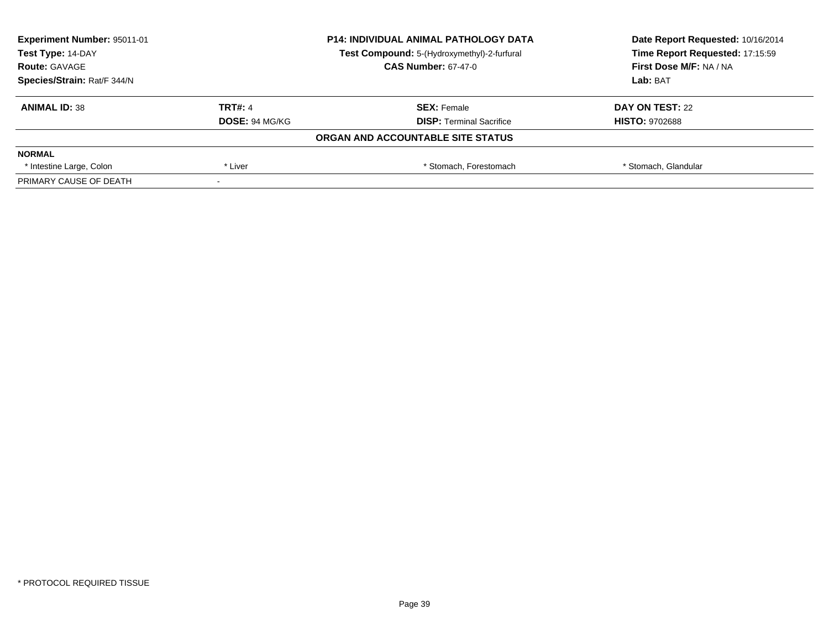| <b>Experiment Number: 95011-01</b><br>Test Type: 14-DAY |                       | <b>P14: INDIVIDUAL ANIMAL PATHOLOGY DATA</b> | Date Report Requested: 10/16/2014<br>Time Report Requested: 17:15:59 |
|---------------------------------------------------------|-----------------------|----------------------------------------------|----------------------------------------------------------------------|
|                                                         |                       | Test Compound: 5-(Hydroxymethyl)-2-furfural  |                                                                      |
| <b>Route: GAVAGE</b>                                    |                       | <b>CAS Number: 67-47-0</b>                   | First Dose M/F: NA / NA                                              |
| Species/Strain: Rat/F 344/N                             |                       |                                              | Lab: BAT                                                             |
| <b>ANIMAL ID: 38</b>                                    | <b>TRT#: 4</b>        | <b>SEX: Female</b>                           | DAY ON TEST: 22                                                      |
|                                                         | <b>DOSE: 94 MG/KG</b> | <b>DISP: Terminal Sacrifice</b>              | <b>HISTO: 9702688</b>                                                |
|                                                         |                       | ORGAN AND ACCOUNTABLE SITE STATUS            |                                                                      |
| <b>NORMAL</b>                                           |                       |                                              |                                                                      |
| * Intestine Large, Colon                                | * Liver               | * Stomach. Forestomach                       | * Stomach, Glandular                                                 |
| PRIMARY CAUSE OF DEATH                                  |                       |                                              |                                                                      |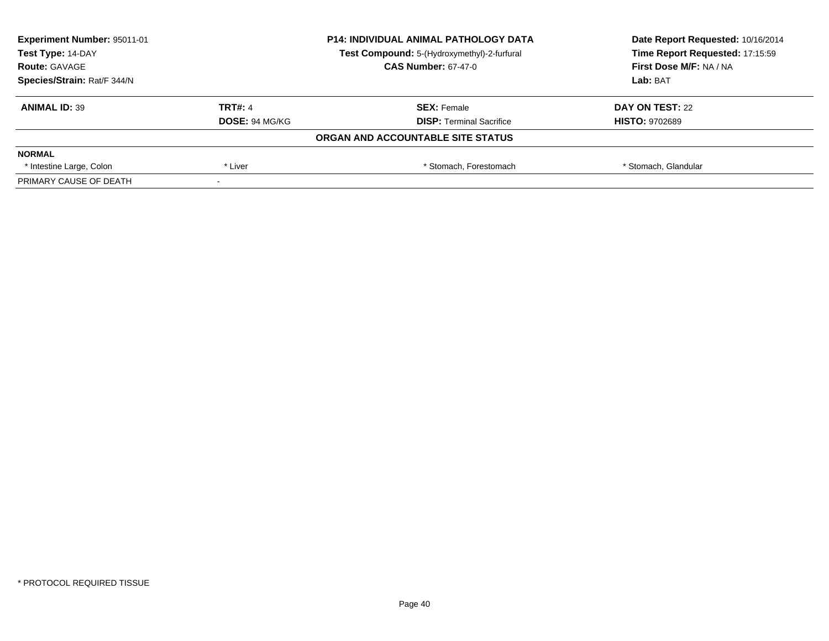| <b>Experiment Number: 95011-01</b><br>Test Type: 14-DAY |                       | <b>P14: INDIVIDUAL ANIMAL PATHOLOGY DATA</b> | Date Report Requested: 10/16/2014<br>Time Report Requested: 17:15:59 |
|---------------------------------------------------------|-----------------------|----------------------------------------------|----------------------------------------------------------------------|
|                                                         |                       | Test Compound: 5-(Hydroxymethyl)-2-furfural  |                                                                      |
| <b>Route: GAVAGE</b>                                    |                       | <b>CAS Number: 67-47-0</b>                   | First Dose M/F: NA / NA                                              |
| Species/Strain: Rat/F 344/N                             |                       |                                              | Lab: BAT                                                             |
| <b>ANIMAL ID: 39</b>                                    | <b>TRT#: 4</b>        | <b>SEX: Female</b>                           | DAY ON TEST: 22                                                      |
|                                                         | <b>DOSE: 94 MG/KG</b> | <b>DISP: Terminal Sacrifice</b>              | <b>HISTO: 9702689</b>                                                |
|                                                         |                       | ORGAN AND ACCOUNTABLE SITE STATUS            |                                                                      |
| <b>NORMAL</b>                                           |                       |                                              |                                                                      |
| * Intestine Large, Colon                                | * Liver               | * Stomach. Forestomach                       | * Stomach, Glandular                                                 |
| PRIMARY CAUSE OF DEATH                                  |                       |                                              |                                                                      |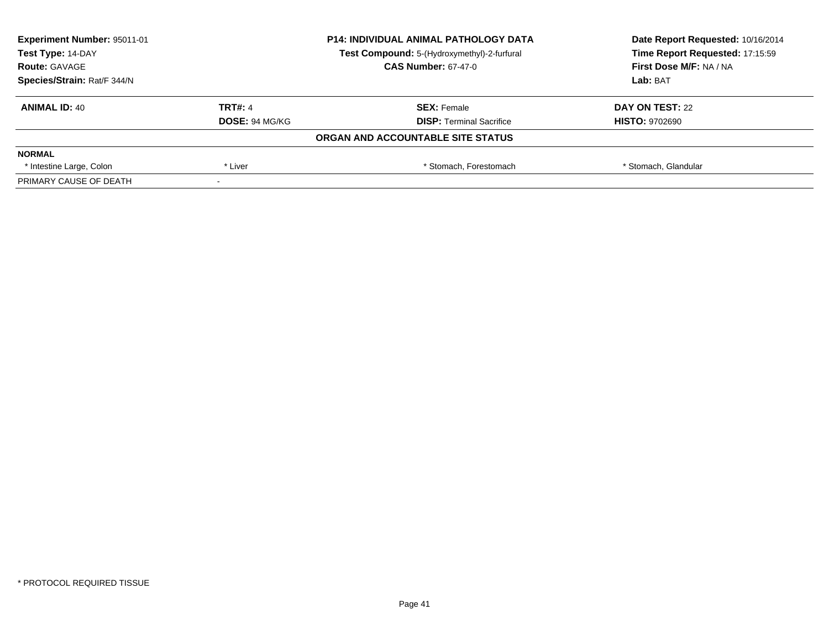| <b>Experiment Number: 95011-01</b><br>Test Type: 14-DAY |                       | <b>P14: INDIVIDUAL ANIMAL PATHOLOGY DATA</b> | Date Report Requested: 10/16/2014<br>Time Report Requested: 17:15:59 |
|---------------------------------------------------------|-----------------------|----------------------------------------------|----------------------------------------------------------------------|
|                                                         |                       | Test Compound: 5-(Hydroxymethyl)-2-furfural  |                                                                      |
| <b>Route: GAVAGE</b>                                    |                       | <b>CAS Number: 67-47-0</b>                   | First Dose M/F: NA / NA                                              |
| Species/Strain: Rat/F 344/N                             |                       |                                              | Lab: BAT                                                             |
| <b>ANIMAL ID: 40</b>                                    | <b>TRT#: 4</b>        | <b>SEX: Female</b>                           | DAY ON TEST: 22                                                      |
|                                                         | <b>DOSE: 94 MG/KG</b> | <b>DISP: Terminal Sacrifice</b>              | <b>HISTO: 9702690</b>                                                |
|                                                         |                       | ORGAN AND ACCOUNTABLE SITE STATUS            |                                                                      |
| <b>NORMAL</b>                                           |                       |                                              |                                                                      |
| * Intestine Large, Colon                                | * Liver               | * Stomach. Forestomach                       | * Stomach, Glandular                                                 |
| PRIMARY CAUSE OF DEATH                                  |                       |                                              |                                                                      |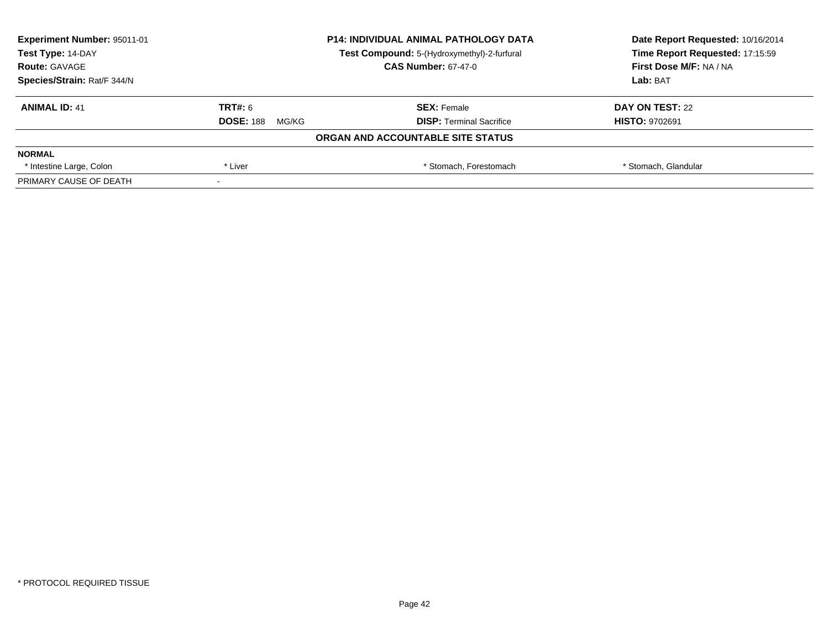| <b>Experiment Number: 95011-01</b> | <b>P14: INDIVIDUAL ANIMAL PATHOLOGY DATA</b><br>Test Compound: 5-(Hydroxymethyl)-2-furfural |                                   | Date Report Requested: 10/16/2014 |  |
|------------------------------------|---------------------------------------------------------------------------------------------|-----------------------------------|-----------------------------------|--|
| Test Type: 14-DAY                  |                                                                                             |                                   | Time Report Requested: 17:15:59   |  |
| <b>Route: GAVAGE</b>               |                                                                                             | <b>CAS Number: 67-47-0</b>        | First Dose M/F: NA / NA           |  |
| Species/Strain: Rat/F 344/N        |                                                                                             |                                   | Lab: BAT                          |  |
| <b>ANIMAL ID: 41</b>               | <b>TRT#: 6</b>                                                                              | <b>SEX: Female</b>                | DAY ON TEST: 22                   |  |
|                                    | <b>DOSE: 188</b><br>MG/KG                                                                   | <b>DISP:</b> Terminal Sacrifice   | <b>HISTO: 9702691</b>             |  |
|                                    |                                                                                             | ORGAN AND ACCOUNTABLE SITE STATUS |                                   |  |
| <b>NORMAL</b>                      |                                                                                             |                                   |                                   |  |
| * Intestine Large, Colon           | * Liver                                                                                     | * Stomach. Forestomach            | * Stomach, Glandular              |  |
| PRIMARY CAUSE OF DEATH             |                                                                                             |                                   |                                   |  |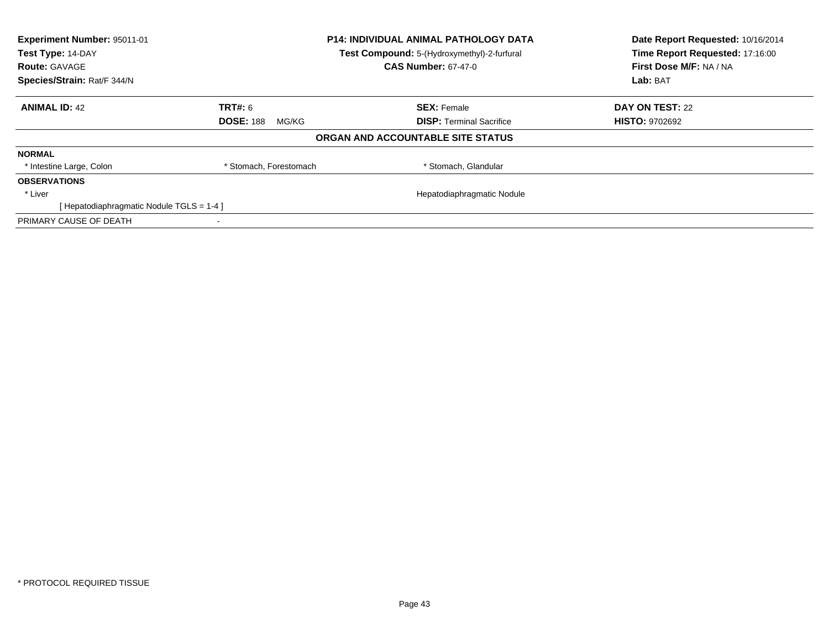| Experiment Number: 95011-01<br>Test Type: 14-DAY |                           | <b>P14: INDIVIDUAL ANIMAL PATHOLOGY DATA</b> | Date Report Requested: 10/16/2014<br>Time Report Requested: 17:16:00 |
|--------------------------------------------------|---------------------------|----------------------------------------------|----------------------------------------------------------------------|
|                                                  |                           | Test Compound: 5-(Hydroxymethyl)-2-furfural  |                                                                      |
| <b>Route: GAVAGE</b>                             |                           | <b>CAS Number: 67-47-0</b>                   | First Dose M/F: NA / NA                                              |
| Species/Strain: Rat/F 344/N                      |                           |                                              | Lab: BAT                                                             |
| <b>ANIMAL ID: 42</b>                             | <b>TRT#: 6</b>            | <b>SEX: Female</b>                           | DAY ON TEST: 22                                                      |
|                                                  | <b>DOSE: 188</b><br>MG/KG | <b>DISP:</b> Terminal Sacrifice              | <b>HISTO: 9702692</b>                                                |
|                                                  |                           | ORGAN AND ACCOUNTABLE SITE STATUS            |                                                                      |
| <b>NORMAL</b>                                    |                           |                                              |                                                                      |
| * Intestine Large, Colon                         | * Stomach, Forestomach    | * Stomach, Glandular                         |                                                                      |
| <b>OBSERVATIONS</b>                              |                           |                                              |                                                                      |
| * Liver                                          |                           | Hepatodiaphragmatic Nodule                   |                                                                      |
| [Hepatodiaphragmatic Nodule TGLS = 1-4]          |                           |                                              |                                                                      |
| PRIMARY CAUSE OF DEATH                           |                           |                                              |                                                                      |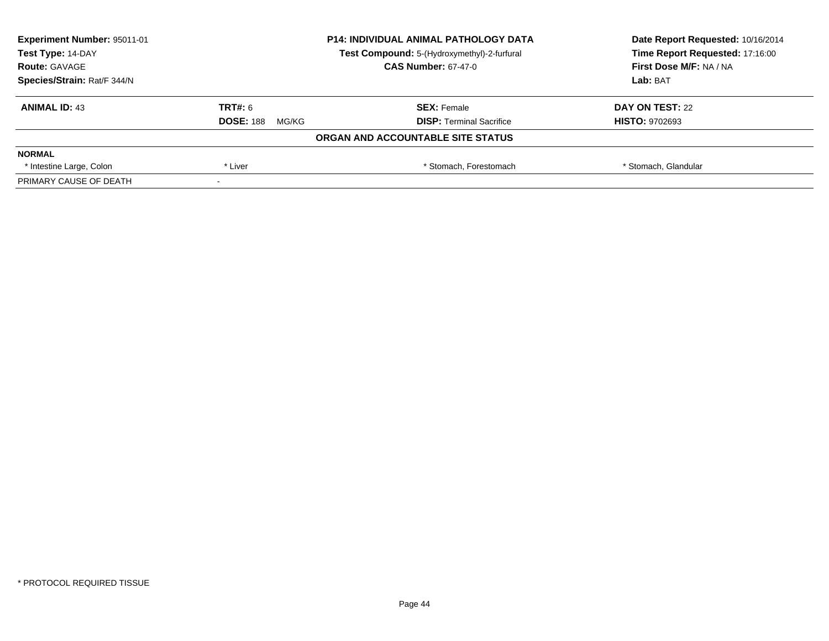| <b>Experiment Number: 95011-01</b> | <b>P14: INDIVIDUAL ANIMAL PATHOLOGY DATA</b> |                                             | Date Report Requested: 10/16/2014 |  |
|------------------------------------|----------------------------------------------|---------------------------------------------|-----------------------------------|--|
| Test Type: 14-DAY                  |                                              | Test Compound: 5-(Hydroxymethyl)-2-furfural | Time Report Requested: 17:16:00   |  |
| <b>Route: GAVAGE</b>               |                                              | <b>CAS Number: 67-47-0</b>                  | First Dose M/F: NA / NA           |  |
| Species/Strain: Rat/F 344/N        |                                              |                                             | Lab: BAT                          |  |
| <b>ANIMAL ID: 43</b>               | TRT#: 6                                      | <b>SEX: Female</b>                          | DAY ON TEST: 22                   |  |
|                                    | <b>DOSE: 188</b><br>MG/KG                    | <b>DISP:</b> Terminal Sacrifice             | <b>HISTO: 9702693</b>             |  |
|                                    |                                              | ORGAN AND ACCOUNTABLE SITE STATUS           |                                   |  |
| <b>NORMAL</b>                      |                                              |                                             |                                   |  |
| * Intestine Large, Colon           | * Liver                                      | * Stomach, Forestomach                      | * Stomach, Glandular              |  |
| PRIMARY CAUSE OF DEATH             |                                              |                                             |                                   |  |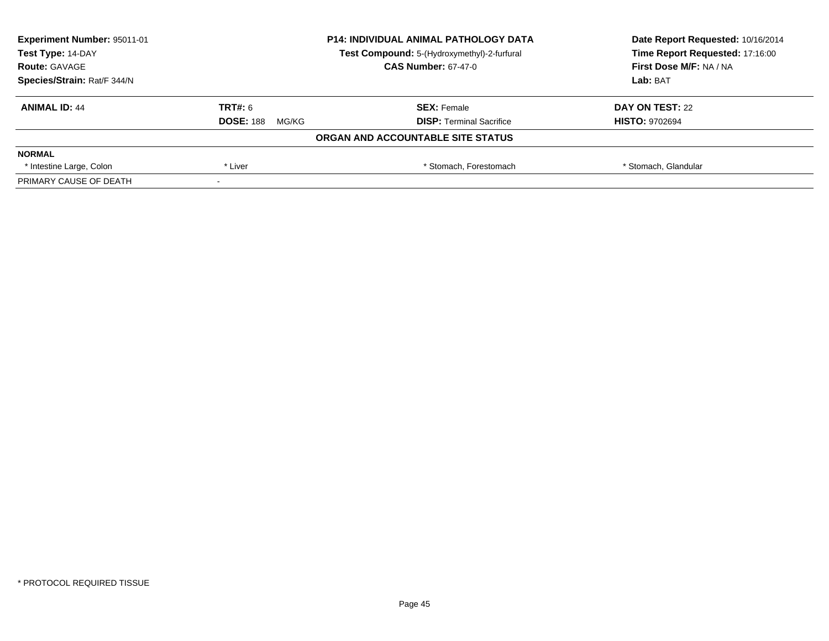| <b>Experiment Number: 95011-01</b> |                           | <b>P14: INDIVIDUAL ANIMAL PATHOLOGY DATA</b> | Date Report Requested: 10/16/2014 |  |
|------------------------------------|---------------------------|----------------------------------------------|-----------------------------------|--|
| Test Type: 14-DAY                  |                           | Test Compound: 5-(Hydroxymethyl)-2-furfural  | Time Report Requested: 17:16:00   |  |
| <b>Route: GAVAGE</b>               |                           | <b>CAS Number: 67-47-0</b>                   | First Dose M/F: NA / NA           |  |
| Species/Strain: Rat/F 344/N        |                           |                                              | Lab: BAT                          |  |
| <b>ANIMAL ID: 44</b>               | <b>TRT#: 6</b>            | <b>SEX: Female</b>                           | DAY ON TEST: 22                   |  |
|                                    | <b>DOSE: 188</b><br>MG/KG | <b>DISP: Terminal Sacrifice</b>              | <b>HISTO: 9702694</b>             |  |
|                                    |                           | ORGAN AND ACCOUNTABLE SITE STATUS            |                                   |  |
| <b>NORMAL</b>                      |                           |                                              |                                   |  |
| * Intestine Large, Colon           | * Liver                   | * Stomach. Forestomach                       | * Stomach, Glandular              |  |
| PRIMARY CAUSE OF DEATH             |                           |                                              |                                   |  |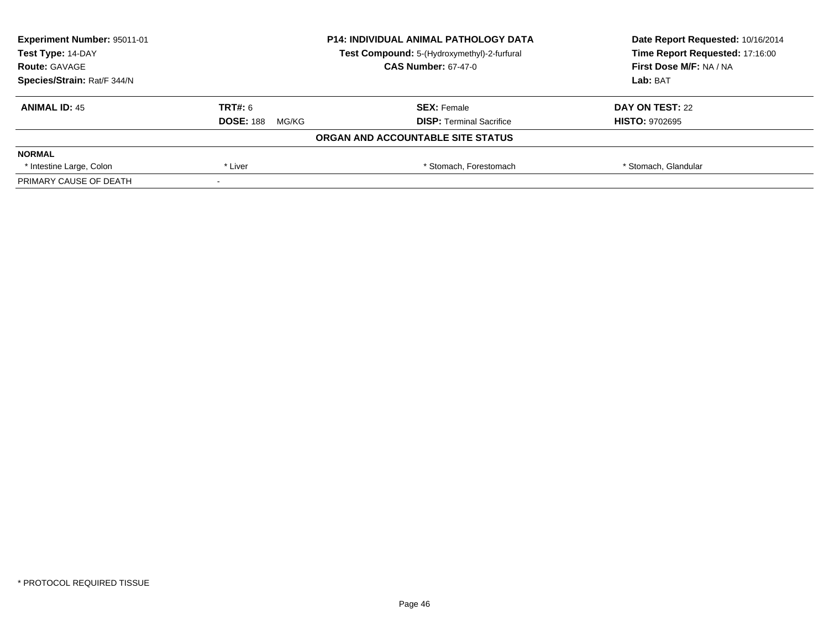| <b>Experiment Number: 95011-01</b> |                           | <b>P14: INDIVIDUAL ANIMAL PATHOLOGY DATA</b> | Date Report Requested: 10/16/2014 |  |
|------------------------------------|---------------------------|----------------------------------------------|-----------------------------------|--|
| Test Type: 14-DAY                  |                           | Test Compound: 5-(Hydroxymethyl)-2-furfural  | Time Report Requested: 17:16:00   |  |
| <b>Route: GAVAGE</b>               |                           | <b>CAS Number: 67-47-0</b>                   | First Dose M/F: NA / NA           |  |
| Species/Strain: Rat/F 344/N        |                           |                                              | Lab: BAT                          |  |
| <b>ANIMAL ID: 45</b>               | <b>TRT#: 6</b>            | <b>SEX: Female</b>                           | DAY ON TEST: 22                   |  |
|                                    | <b>DOSE: 188</b><br>MG/KG | <b>DISP:</b> Terminal Sacrifice              | <b>HISTO: 9702695</b>             |  |
|                                    |                           | ORGAN AND ACCOUNTABLE SITE STATUS            |                                   |  |
| <b>NORMAL</b>                      |                           |                                              |                                   |  |
| * Intestine Large, Colon           | * Liver                   | * Stomach. Forestomach                       | * Stomach, Glandular              |  |
| PRIMARY CAUSE OF DEATH             |                           |                                              |                                   |  |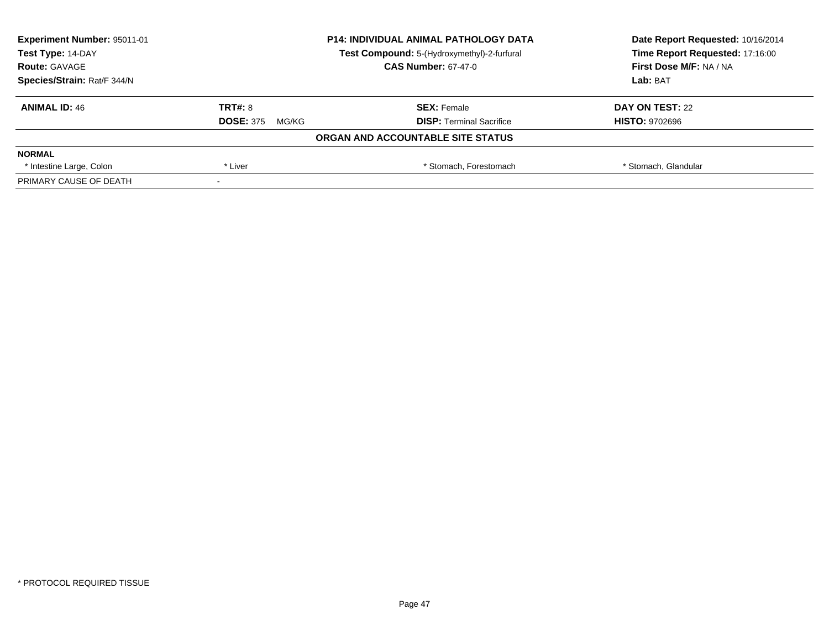| Experiment Number: 95011-01 | <b>P14: INDIVIDUAL ANIMAL PATHOLOGY DATA</b><br>Test Compound: 5-(Hydroxymethyl)-2-furfural |                                   | Date Report Requested: 10/16/2014 |  |
|-----------------------------|---------------------------------------------------------------------------------------------|-----------------------------------|-----------------------------------|--|
| Test Type: 14-DAY           |                                                                                             |                                   | Time Report Requested: 17:16:00   |  |
| <b>Route: GAVAGE</b>        |                                                                                             | <b>CAS Number: 67-47-0</b>        | First Dose M/F: NA / NA           |  |
| Species/Strain: Rat/F 344/N |                                                                                             |                                   | Lab: BAT                          |  |
| <b>ANIMAL ID: 46</b>        | <b>TRT#: 8</b>                                                                              | <b>SEX: Female</b>                | DAY ON TEST: 22                   |  |
|                             | <b>DOSE: 375</b><br>MG/KG                                                                   | <b>DISP: Terminal Sacrifice</b>   | <b>HISTO: 9702696</b>             |  |
|                             |                                                                                             | ORGAN AND ACCOUNTABLE SITE STATUS |                                   |  |
| <b>NORMAL</b>               |                                                                                             |                                   |                                   |  |
| * Intestine Large, Colon    | * Liver                                                                                     | * Stomach, Forestomach            | * Stomach, Glandular              |  |
| PRIMARY CAUSE OF DEATH      |                                                                                             |                                   |                                   |  |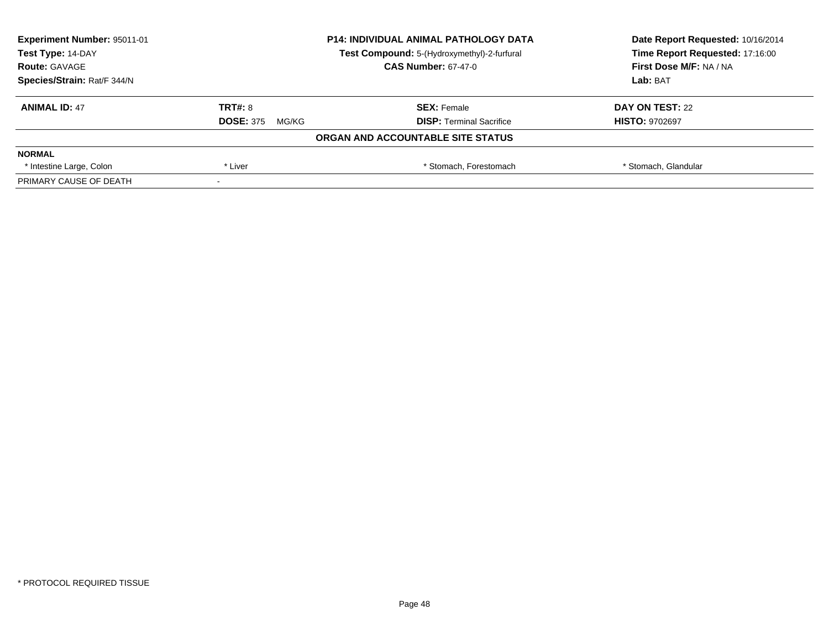| <b>Experiment Number: 95011-01</b> | <b>P14: INDIVIDUAL ANIMAL PATHOLOGY DATA</b><br>Test Compound: 5-(Hydroxymethyl)-2-furfural |                                   | Date Report Requested: 10/16/2014 |  |
|------------------------------------|---------------------------------------------------------------------------------------------|-----------------------------------|-----------------------------------|--|
| Test Type: 14-DAY                  |                                                                                             |                                   | Time Report Requested: 17:16:00   |  |
| <b>Route: GAVAGE</b>               |                                                                                             | <b>CAS Number: 67-47-0</b>        | First Dose M/F: NA / NA           |  |
| Species/Strain: Rat/F 344/N        |                                                                                             |                                   | Lab: BAT                          |  |
| <b>ANIMAL ID: 47</b>               | <b>TRT#: 8</b>                                                                              | <b>SEX: Female</b>                | DAY ON TEST: 22                   |  |
|                                    | <b>DOSE: 375</b><br>MG/KG                                                                   | <b>DISP:</b> Terminal Sacrifice   | <b>HISTO: 9702697</b>             |  |
|                                    |                                                                                             | ORGAN AND ACCOUNTABLE SITE STATUS |                                   |  |
| <b>NORMAL</b>                      |                                                                                             |                                   |                                   |  |
| * Intestine Large, Colon           | * Liver                                                                                     | * Stomach, Forestomach            | * Stomach, Glandular              |  |
| PRIMARY CAUSE OF DEATH             |                                                                                             |                                   |                                   |  |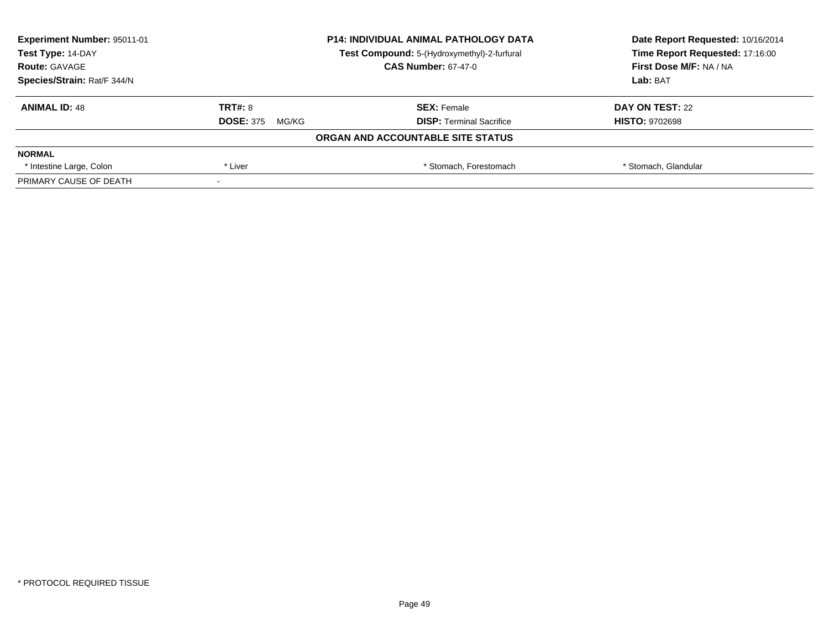| <b>Experiment Number: 95011-01</b> |                           | <b>P14: INDIVIDUAL ANIMAL PATHOLOGY DATA</b> | Date Report Requested: 10/16/2014 |
|------------------------------------|---------------------------|----------------------------------------------|-----------------------------------|
| Test Type: 14-DAY                  |                           | Test Compound: 5-(Hydroxymethyl)-2-furfural  | Time Report Requested: 17:16:00   |
| <b>Route: GAVAGE</b>               |                           | <b>CAS Number: 67-47-0</b>                   | First Dose M/F: NA / NA           |
| Species/Strain: Rat/F 344/N        |                           |                                              | Lab: BAT                          |
| <b>ANIMAL ID: 48</b>               | <b>TRT#: 8</b>            | <b>SEX: Female</b>                           | DAY ON TEST: 22                   |
|                                    | <b>DOSE: 375</b><br>MG/KG | <b>DISP: Terminal Sacrifice</b>              | <b>HISTO: 9702698</b>             |
|                                    |                           | ORGAN AND ACCOUNTABLE SITE STATUS            |                                   |
| <b>NORMAL</b>                      |                           |                                              |                                   |
| * Intestine Large, Colon           | * Liver                   | * Stomach. Forestomach                       | * Stomach, Glandular              |
| PRIMARY CAUSE OF DEATH             |                           |                                              |                                   |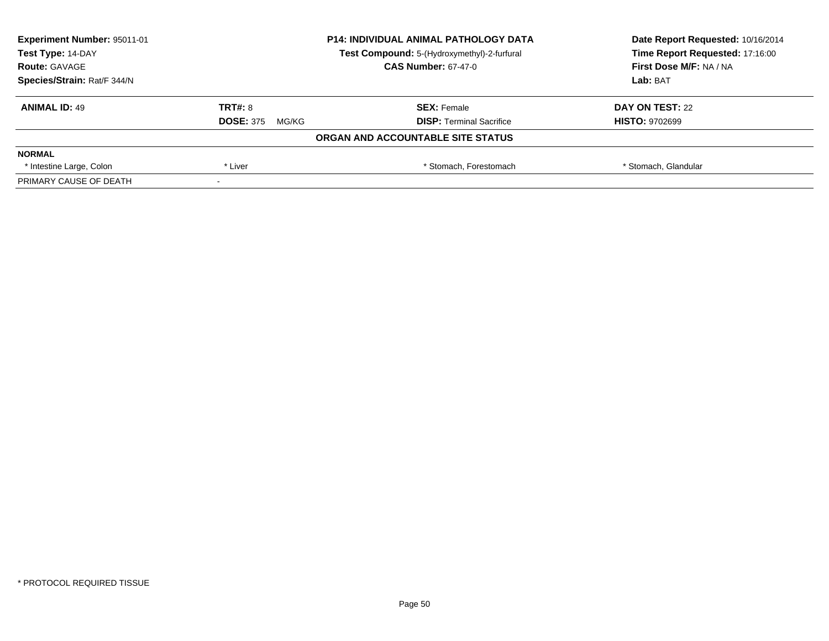| <b>Experiment Number: 95011-01</b> | <b>P14: INDIVIDUAL ANIMAL PATHOLOGY DATA</b><br>Test Compound: 5-(Hydroxymethyl)-2-furfural |                                   | Date Report Requested: 10/16/2014 |
|------------------------------------|---------------------------------------------------------------------------------------------|-----------------------------------|-----------------------------------|
| Test Type: 14-DAY                  |                                                                                             |                                   | Time Report Requested: 17:16:00   |
| <b>Route: GAVAGE</b>               |                                                                                             | <b>CAS Number: 67-47-0</b>        | First Dose M/F: NA / NA           |
| Species/Strain: Rat/F 344/N        |                                                                                             |                                   | Lab: BAT                          |
| <b>ANIMAL ID: 49</b>               | <b>TRT#: 8</b>                                                                              | <b>SEX: Female</b>                | DAY ON TEST: 22                   |
|                                    | <b>DOSE: 375</b><br>MG/KG                                                                   | <b>DISP:</b> Terminal Sacrifice   | <b>HISTO: 9702699</b>             |
|                                    |                                                                                             | ORGAN AND ACCOUNTABLE SITE STATUS |                                   |
| <b>NORMAL</b>                      |                                                                                             |                                   |                                   |
| * Intestine Large, Colon           | * Liver                                                                                     | * Stomach. Forestomach            | * Stomach, Glandular              |
| PRIMARY CAUSE OF DEATH             |                                                                                             |                                   |                                   |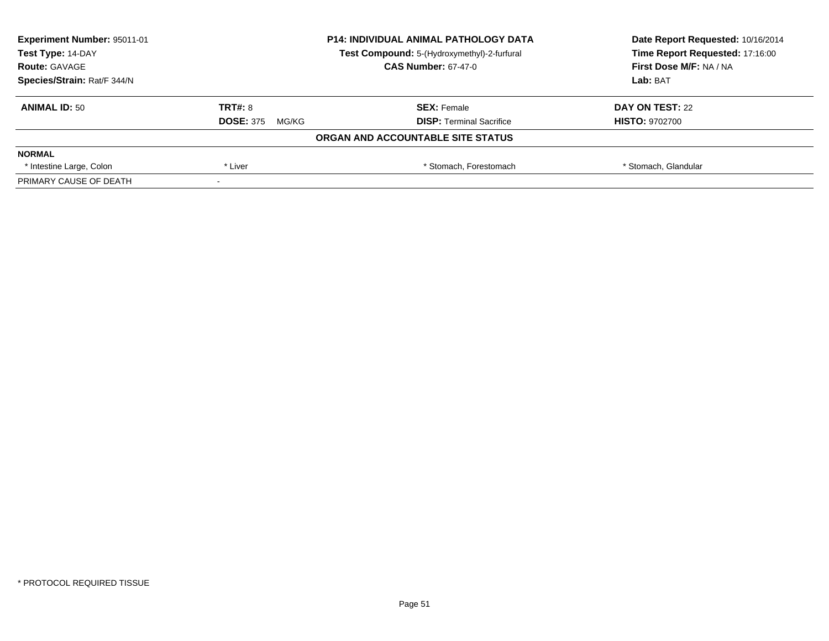| Experiment Number: 95011-01 | <b>P14: INDIVIDUAL ANIMAL PATHOLOGY DATA</b><br>Test Compound: 5-(Hydroxymethyl)-2-furfural |                                   | Date Report Requested: 10/16/2014 |  |
|-----------------------------|---------------------------------------------------------------------------------------------|-----------------------------------|-----------------------------------|--|
| Test Type: 14-DAY           |                                                                                             |                                   | Time Report Requested: 17:16:00   |  |
| <b>Route: GAVAGE</b>        |                                                                                             | <b>CAS Number: 67-47-0</b>        | First Dose M/F: NA / NA           |  |
| Species/Strain: Rat/F 344/N |                                                                                             |                                   | Lab: BAT                          |  |
| <b>ANIMAL ID: 50</b>        | TRT#: 8                                                                                     | <b>SEX: Female</b>                | DAY ON TEST: 22                   |  |
|                             | <b>DOSE: 375</b><br>MG/KG                                                                   | <b>DISP:</b> Terminal Sacrifice   | <b>HISTO: 9702700</b>             |  |
|                             |                                                                                             | ORGAN AND ACCOUNTABLE SITE STATUS |                                   |  |
| <b>NORMAL</b>               |                                                                                             |                                   |                                   |  |
| * Intestine Large, Colon    | * Liver                                                                                     | * Stomach, Forestomach            | * Stomach, Glandular              |  |
| PRIMARY CAUSE OF DEATH      |                                                                                             |                                   |                                   |  |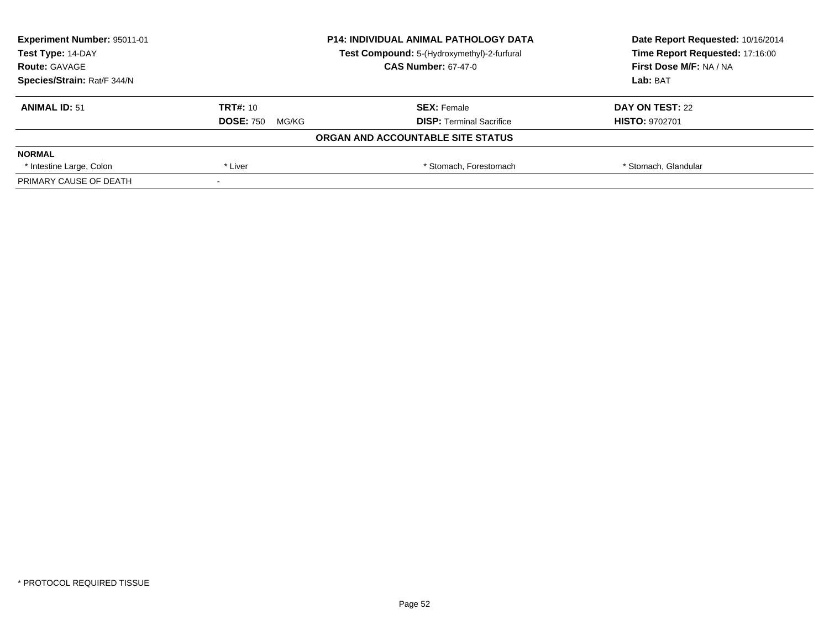| <b>Experiment Number: 95011-01</b> | <b>P14: INDIVIDUAL ANIMAL PATHOLOGY DATA</b><br>Test Compound: 5-(Hydroxymethyl)-2-furfural |                                   | Date Report Requested: 10/16/2014 |
|------------------------------------|---------------------------------------------------------------------------------------------|-----------------------------------|-----------------------------------|
| Test Type: 14-DAY                  |                                                                                             |                                   | Time Report Requested: 17:16:00   |
| <b>Route: GAVAGE</b>               |                                                                                             | <b>CAS Number: 67-47-0</b>        | First Dose M/F: NA / NA           |
| Species/Strain: Rat/F 344/N        |                                                                                             |                                   | Lab: BAT                          |
| <b>ANIMAL ID: 51</b>               | TRT#: 10                                                                                    | <b>SEX: Female</b>                | DAY ON TEST: 22                   |
|                                    | <b>DOSE: 750</b><br>MG/KG                                                                   | <b>DISP:</b> Terminal Sacrifice   | <b>HISTO: 9702701</b>             |
|                                    |                                                                                             | ORGAN AND ACCOUNTABLE SITE STATUS |                                   |
| <b>NORMAL</b>                      |                                                                                             |                                   |                                   |
| * Intestine Large, Colon           | * Liver                                                                                     | * Stomach, Forestomach            | * Stomach, Glandular              |
| PRIMARY CAUSE OF DEATH             |                                                                                             |                                   |                                   |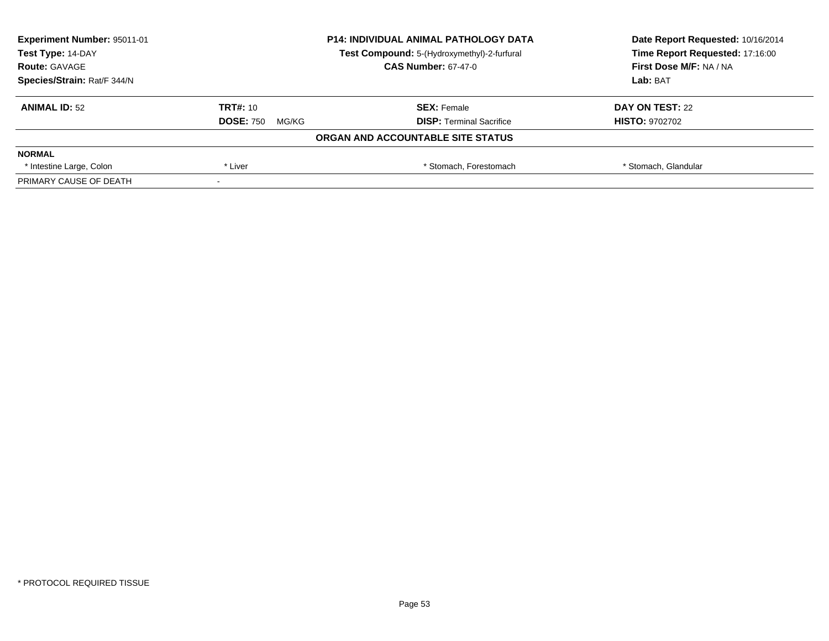| Experiment Number: 95011-01 | <b>P14: INDIVIDUAL ANIMAL PATHOLOGY DATA</b><br>Test Compound: 5-(Hydroxymethyl)-2-furfural |                                   | Date Report Requested: 10/16/2014 |
|-----------------------------|---------------------------------------------------------------------------------------------|-----------------------------------|-----------------------------------|
| Test Type: 14-DAY           |                                                                                             |                                   | Time Report Requested: 17:16:00   |
| <b>Route: GAVAGE</b>        |                                                                                             | <b>CAS Number: 67-47-0</b>        | First Dose M/F: NA / NA           |
| Species/Strain: Rat/F 344/N |                                                                                             |                                   | Lab: BAT                          |
| <b>ANIMAL ID: 52</b>        | TRT#: 10                                                                                    | <b>SEX: Female</b>                | DAY ON TEST: 22                   |
|                             | <b>DOSE: 750</b><br>MG/KG                                                                   | <b>DISP:</b> Terminal Sacrifice   | <b>HISTO: 9702702</b>             |
|                             |                                                                                             | ORGAN AND ACCOUNTABLE SITE STATUS |                                   |
| <b>NORMAL</b>               |                                                                                             |                                   |                                   |
| * Intestine Large, Colon    | * Liver                                                                                     | * Stomach. Forestomach            | * Stomach, Glandular              |
| PRIMARY CAUSE OF DEATH      |                                                                                             |                                   |                                   |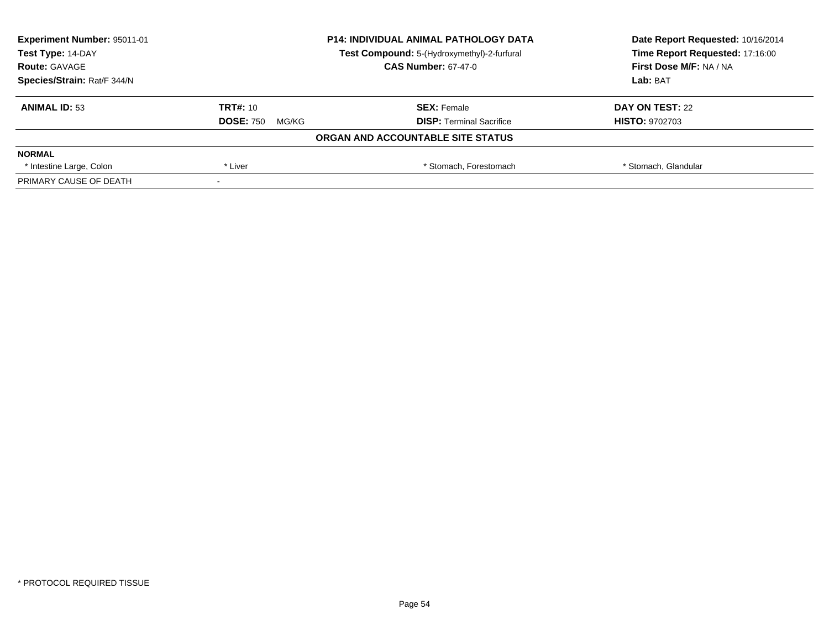| Experiment Number: 95011-01 | <b>P14: INDIVIDUAL ANIMAL PATHOLOGY DATA</b><br>Test Compound: 5-(Hydroxymethyl)-2-furfural |                                   | Date Report Requested: 10/16/2014 |
|-----------------------------|---------------------------------------------------------------------------------------------|-----------------------------------|-----------------------------------|
| Test Type: 14-DAY           |                                                                                             |                                   | Time Report Requested: 17:16:00   |
| <b>Route: GAVAGE</b>        |                                                                                             | <b>CAS Number: 67-47-0</b>        | First Dose M/F: NA / NA           |
| Species/Strain: Rat/F 344/N |                                                                                             |                                   | Lab: BAT                          |
| <b>ANIMAL ID: 53</b>        | TRT#: 10                                                                                    | <b>SEX: Female</b>                | DAY ON TEST: 22                   |
|                             | <b>DOSE: 750</b><br>MG/KG                                                                   | <b>DISP:</b> Terminal Sacrifice   | <b>HISTO: 9702703</b>             |
|                             |                                                                                             | ORGAN AND ACCOUNTABLE SITE STATUS |                                   |
| <b>NORMAL</b>               |                                                                                             |                                   |                                   |
| * Intestine Large, Colon    | * Liver                                                                                     | * Stomach. Forestomach            | * Stomach, Glandular              |
| PRIMARY CAUSE OF DEATH      |                                                                                             |                                   |                                   |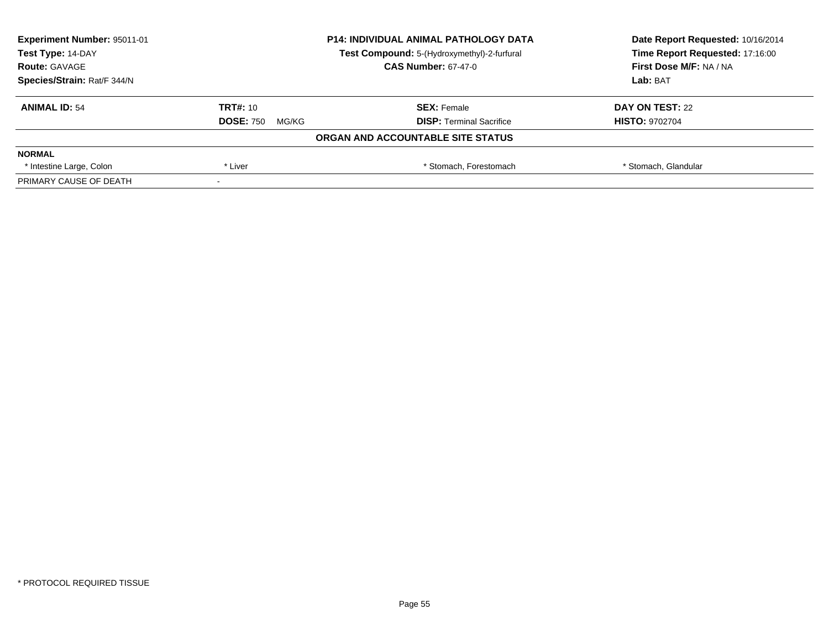| <b>Experiment Number: 95011-01</b> | <b>P14: INDIVIDUAL ANIMAL PATHOLOGY DATA</b><br>Test Compound: 5-(Hydroxymethyl)-2-furfural |                                   | Date Report Requested: 10/16/2014 |
|------------------------------------|---------------------------------------------------------------------------------------------|-----------------------------------|-----------------------------------|
| Test Type: 14-DAY                  |                                                                                             |                                   | Time Report Requested: 17:16:00   |
| <b>Route: GAVAGE</b>               |                                                                                             | <b>CAS Number: 67-47-0</b>        | First Dose M/F: NA / NA           |
| Species/Strain: Rat/F 344/N        |                                                                                             | Lab: BAT                          |                                   |
| <b>ANIMAL ID: 54</b>               | TRT#: 10                                                                                    | <b>SEX: Female</b>                | DAY ON TEST: 22                   |
|                                    | <b>DOSE: 750</b><br>MG/KG                                                                   | <b>DISP:</b> Terminal Sacrifice   | <b>HISTO: 9702704</b>             |
|                                    |                                                                                             | ORGAN AND ACCOUNTABLE SITE STATUS |                                   |
| <b>NORMAL</b>                      |                                                                                             |                                   |                                   |
| * Intestine Large, Colon           | * Liver                                                                                     | * Stomach, Forestomach            | * Stomach, Glandular              |
| PRIMARY CAUSE OF DEATH             |                                                                                             |                                   |                                   |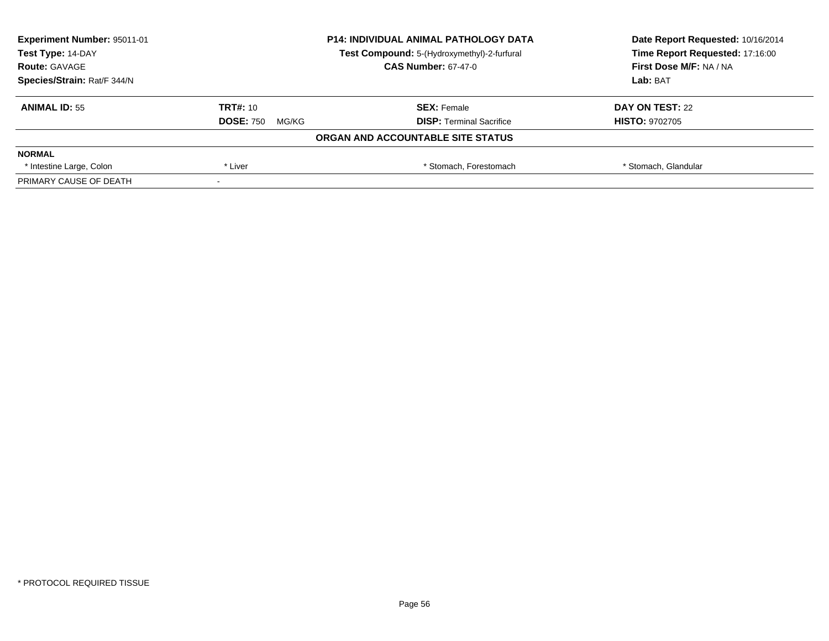| Experiment Number: 95011-01 | <b>P14: INDIVIDUAL ANIMAL PATHOLOGY DATA</b><br>Test Compound: 5-(Hydroxymethyl)-2-furfural |                                   | Date Report Requested: 10/16/2014 |
|-----------------------------|---------------------------------------------------------------------------------------------|-----------------------------------|-----------------------------------|
| Test Type: 14-DAY           |                                                                                             |                                   | Time Report Requested: 17:16:00   |
| <b>Route: GAVAGE</b>        |                                                                                             | <b>CAS Number: 67-47-0</b>        | First Dose M/F: NA / NA           |
| Species/Strain: Rat/F 344/N |                                                                                             |                                   | Lab: BAT                          |
| <b>ANIMAL ID: 55</b>        | TRT#: 10                                                                                    | <b>SEX: Female</b>                | DAY ON TEST: 22                   |
|                             | <b>DOSE: 750</b><br>MG/KG                                                                   | <b>DISP:</b> Terminal Sacrifice   | <b>HISTO: 9702705</b>             |
|                             |                                                                                             | ORGAN AND ACCOUNTABLE SITE STATUS |                                   |
| <b>NORMAL</b>               |                                                                                             |                                   |                                   |
| * Intestine Large, Colon    | * Liver                                                                                     | * Stomach. Forestomach            | * Stomach, Glandular              |
| PRIMARY CAUSE OF DEATH      |                                                                                             |                                   |                                   |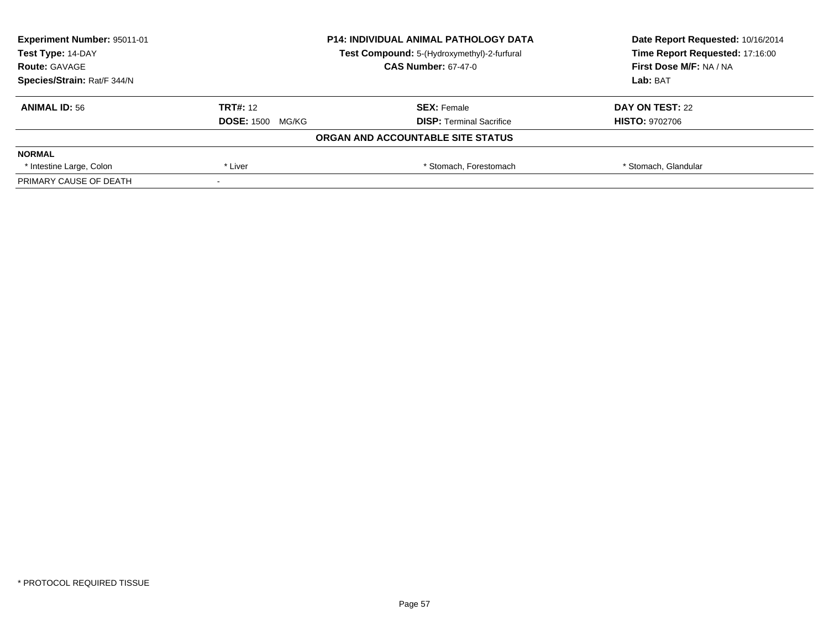| <b>Experiment Number: 95011-01</b> | <b>P14: INDIVIDUAL ANIMAL PATHOLOGY DATA</b><br>Test Compound: 5-(Hydroxymethyl)-2-furfural |                                   | Date Report Requested: 10/16/2014 |
|------------------------------------|---------------------------------------------------------------------------------------------|-----------------------------------|-----------------------------------|
| Test Type: 14-DAY                  |                                                                                             |                                   | Time Report Requested: 17:16:00   |
| <b>Route: GAVAGE</b>               |                                                                                             | <b>CAS Number: 67-47-0</b>        | First Dose M/F: NA / NA           |
| Species/Strain: Rat/F 344/N        |                                                                                             |                                   | Lab: BAT                          |
| <b>ANIMAL ID: 56</b>               | <b>TRT#: 12</b>                                                                             | <b>SEX: Female</b>                | DAY ON TEST: 22                   |
|                                    | <b>DOSE: 1500</b><br>MG/KG                                                                  | <b>DISP:</b> Terminal Sacrifice   | <b>HISTO: 9702706</b>             |
|                                    |                                                                                             | ORGAN AND ACCOUNTABLE SITE STATUS |                                   |
| <b>NORMAL</b>                      |                                                                                             |                                   |                                   |
| * Intestine Large, Colon           | * Liver                                                                                     | * Stomach, Forestomach            | * Stomach, Glandular              |
| PRIMARY CAUSE OF DEATH             |                                                                                             |                                   |                                   |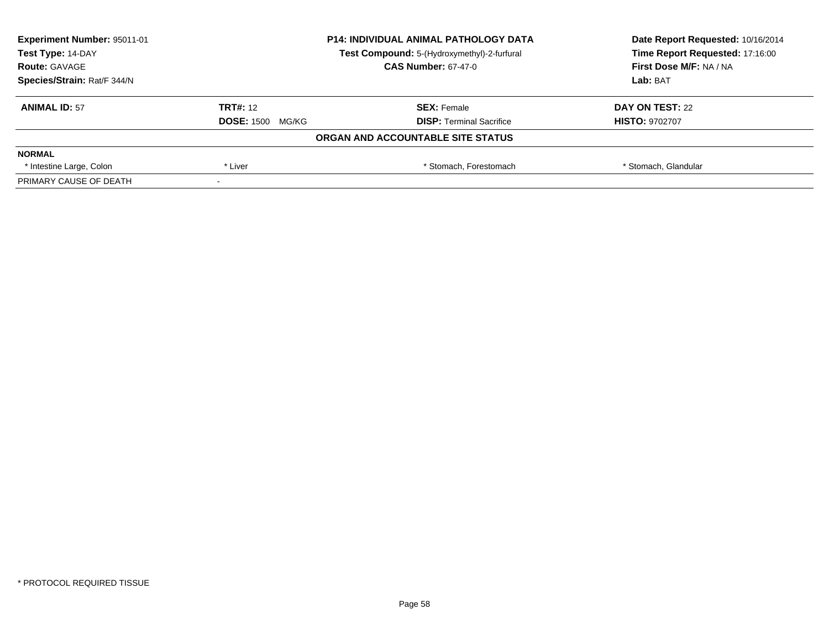| <b>Experiment Number: 95011-01</b> | <b>P14: INDIVIDUAL ANIMAL PATHOLOGY DATA</b><br>Test Compound: 5-(Hydroxymethyl)-2-furfural |                                   | Date Report Requested: 10/16/2014 |
|------------------------------------|---------------------------------------------------------------------------------------------|-----------------------------------|-----------------------------------|
| Test Type: 14-DAY                  |                                                                                             |                                   | Time Report Requested: 17:16:00   |
| <b>Route: GAVAGE</b>               |                                                                                             | <b>CAS Number: 67-47-0</b>        | First Dose M/F: NA / NA           |
| Species/Strain: Rat/F 344/N        |                                                                                             |                                   | Lab: BAT                          |
| <b>ANIMAL ID: 57</b>               | <b>TRT#: 12</b>                                                                             | <b>SEX: Female</b>                | DAY ON TEST: 22                   |
|                                    | <b>DOSE: 1500</b><br>MG/KG                                                                  | <b>DISP:</b> Terminal Sacrifice   | <b>HISTO: 9702707</b>             |
|                                    |                                                                                             | ORGAN AND ACCOUNTABLE SITE STATUS |                                   |
| <b>NORMAL</b>                      |                                                                                             |                                   |                                   |
| * Intestine Large, Colon           | * Liver                                                                                     | * Stomach, Forestomach            | * Stomach, Glandular              |
| PRIMARY CAUSE OF DEATH             |                                                                                             |                                   |                                   |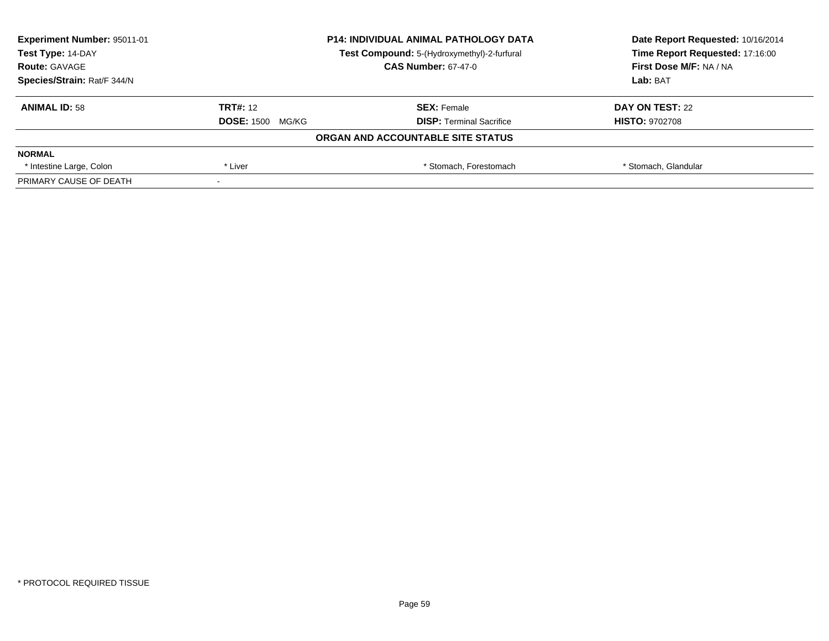| <b>Experiment Number: 95011-01</b> | <b>P14: INDIVIDUAL ANIMAL PATHOLOGY DATA</b><br>Test Compound: 5-(Hydroxymethyl)-2-furfural |                                   | Date Report Requested: 10/16/2014 |
|------------------------------------|---------------------------------------------------------------------------------------------|-----------------------------------|-----------------------------------|
| Test Type: 14-DAY                  |                                                                                             |                                   | Time Report Requested: 17:16:00   |
| <b>Route: GAVAGE</b>               |                                                                                             | <b>CAS Number: 67-47-0</b>        | First Dose M/F: NA / NA           |
| Species/Strain: Rat/F 344/N        |                                                                                             |                                   | Lab: BAT                          |
| <b>ANIMAL ID: 58</b>               | <b>TRT#: 12</b>                                                                             | <b>SEX: Female</b>                | DAY ON TEST: 22                   |
|                                    | <b>DOSE: 1500</b><br>MG/KG                                                                  | <b>DISP:</b> Terminal Sacrifice   | <b>HISTO: 9702708</b>             |
|                                    |                                                                                             | ORGAN AND ACCOUNTABLE SITE STATUS |                                   |
| <b>NORMAL</b>                      |                                                                                             |                                   |                                   |
| * Intestine Large, Colon           | * Liver                                                                                     | * Stomach, Forestomach            | * Stomach, Glandular              |
| PRIMARY CAUSE OF DEATH             |                                                                                             |                                   |                                   |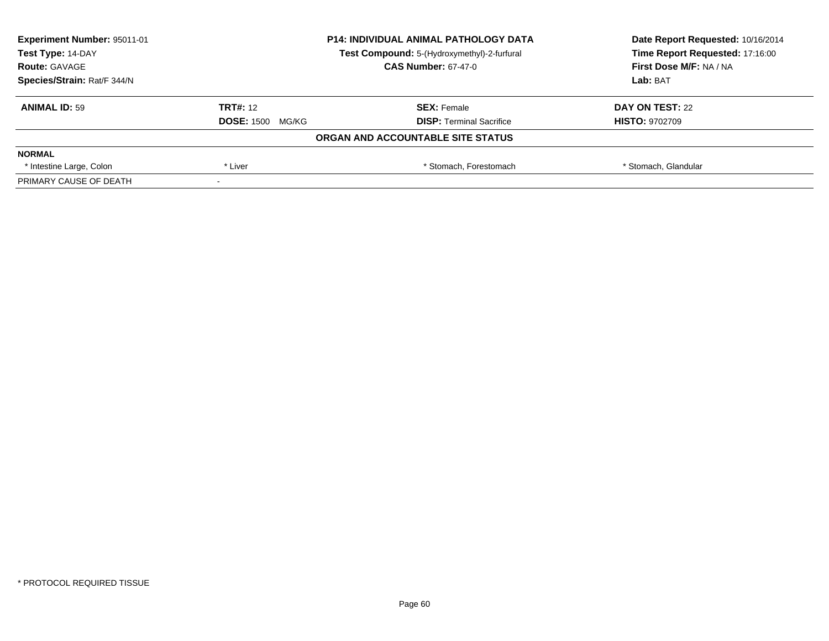| <b>Experiment Number: 95011-01</b> | <b>P14: INDIVIDUAL ANIMAL PATHOLOGY DATA</b><br>Test Compound: 5-(Hydroxymethyl)-2-furfural |                                   | Date Report Requested: 10/16/2014 |
|------------------------------------|---------------------------------------------------------------------------------------------|-----------------------------------|-----------------------------------|
| Test Type: 14-DAY                  |                                                                                             |                                   | Time Report Requested: 17:16:00   |
| <b>Route: GAVAGE</b>               |                                                                                             | <b>CAS Number: 67-47-0</b>        | First Dose M/F: NA / NA           |
| Species/Strain: Rat/F 344/N        |                                                                                             |                                   | Lab: BAT                          |
| <b>ANIMAL ID: 59</b>               | <b>TRT#: 12</b>                                                                             | <b>SEX: Female</b>                | DAY ON TEST: 22                   |
|                                    | <b>DOSE: 1500</b><br>MG/KG                                                                  | <b>DISP:</b> Terminal Sacrifice   | <b>HISTO: 9702709</b>             |
|                                    |                                                                                             | ORGAN AND ACCOUNTABLE SITE STATUS |                                   |
| <b>NORMAL</b>                      |                                                                                             |                                   |                                   |
| * Intestine Large, Colon           | * Liver                                                                                     | * Stomach, Forestomach            | * Stomach, Glandular              |
| PRIMARY CAUSE OF DEATH             |                                                                                             |                                   |                                   |